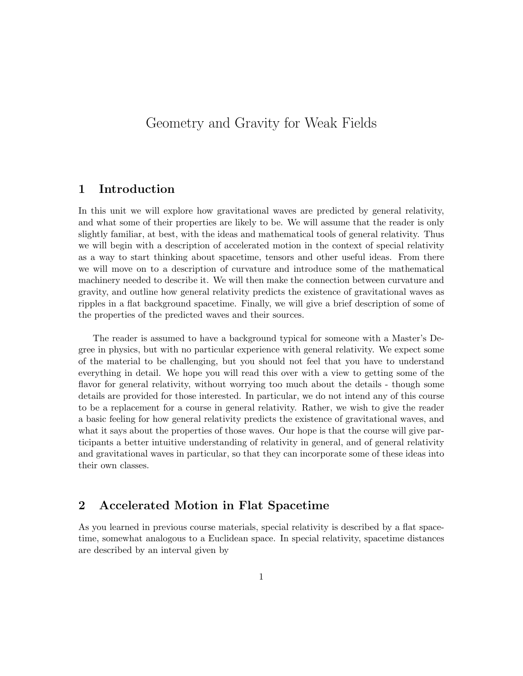# Geometry and Gravity for Weak Fields

# 1 Introduction

In this unit we will explore how gravitational waves are predicted by general relativity, and what some of their properties are likely to be. We will assume that the reader is only slightly familiar, at best, with the ideas and mathematical tools of general relativity. Thus we will begin with a description of accelerated motion in the context of special relativity as a way to start thinking about spacetime, tensors and other useful ideas. From there we will move on to a description of curvature and introduce some of the mathematical machinery needed to describe it. We will then make the connection between curvature and gravity, and outline how general relativity predicts the existence of gravitational waves as ripples in a flat background spacetime. Finally, we will give a brief description of some of the properties of the predicted waves and their sources.

The reader is assumed to have a background typical for someone with a Master's Degree in physics, but with no particular experience with general relativity. We expect some of the material to be challenging, but you should not feel that you have to understand everything in detail. We hope you will read this over with a view to getting some of the flavor for general relativity, without worrying too much about the details - though some details are provided for those interested. In particular, we do not intend any of this course to be a replacement for a course in general relativity. Rather, we wish to give the reader a basic feeling for how general relativity predicts the existence of gravitational waves, and what it says about the properties of those waves. Our hope is that the course will give participants a better intuitive understanding of relativity in general, and of general relativity and gravitational waves in particular, so that they can incorporate some of these ideas into their own classes.

# 2 Accelerated Motion in Flat Spacetime

As you learned in previous course materials, special relativity is described by a flat spacetime, somewhat analogous to a Euclidean space. In special relativity, spacetime distances are described by an interval given by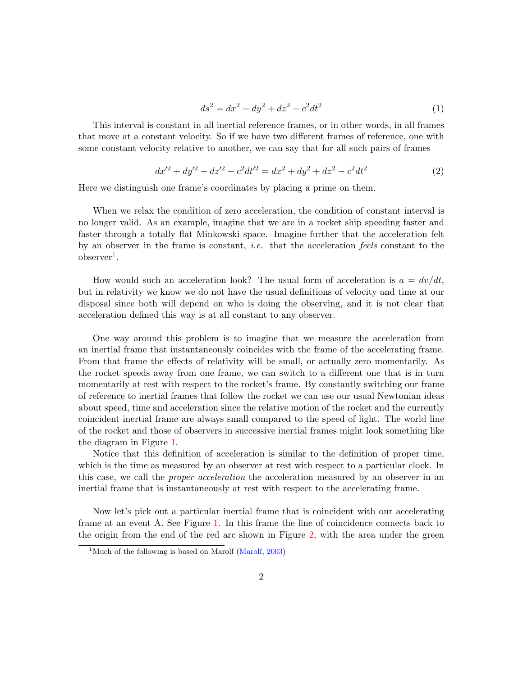$$
ds^2 = dx^2 + dy^2 + dz^2 - c^2 dt^2
$$
\n(1)

This interval is constant in all inertial reference frames, or in other words, in all frames that move at a constant velocity. So if we have two different frames of reference, one with some constant velocity relative to another, we can say that for all such pairs of frames

$$
dx'^2 + dy'^2 + dz'^2 - c^2 dt'^2 = dx^2 + dy^2 + dz^2 - c^2 dt^2
$$
\n(2)

Here we distinguish one frame's coordinates by placing a prime on them.

When we relax the condition of zero acceleration, the condition of constant interval is no longer valid. As an example, imagine that we are in a rocket ship speeding faster and faster through a totally flat Minkowski space. Imagine further that the acceleration felt by an observer in the frame is constant, *i.e.* that the acceleration feels constant to the  $\text{observer}^1$  $\text{observer}^1$ .

How would such an acceleration look? The usual form of acceleration is  $a = dv/dt$ , but in relativity we know we do not have the usual definitions of velocity and time at our disposal since both will depend on who is doing the observing, and it is not clear that acceleration defined this way is at all constant to any observer.

One way around this problem is to imagine that we measure the acceleration from an inertial frame that instantaneously coincides with the frame of the accelerating frame. From that frame the effects of relativity will be small, or actually zero momentarily. As the rocket speeds away from one frame, we can switch to a different one that is in turn momentarily at rest with respect to the rocket's frame. By constantly switching our frame of reference to inertial frames that follow the rocket we can use our usual Newtonian ideas about speed, time and acceleration since the relative motion of the rocket and the currently coincident inertial frame are always small compared to the speed of light. The world line of the rocket and those of observers in successive inertial frames might look something like the diagram in Figure [1.](#page-2-0)

Notice that this definition of acceleration is similar to the definition of proper time, which is the time as measured by an observer at rest with respect to a particular clock. In this case, we call the proper acceleration the acceleration measured by an observer in an inertial frame that is instantaneously at rest with respect to the accelerating frame.

Now let's pick out a particular inertial frame that is coincident with our accelerating frame at an event A. See Figure [1.](#page-2-0) In this frame the line of coincidence connects back to the origin from the end of the red arc shown in Figure [2,](#page-3-0) with the area under the green

<span id="page-1-0"></span><sup>&</sup>lt;sup>1</sup>Much of the following is based on Marolf [\(Marolf,](#page-35-0) [2003\)](#page-35-0)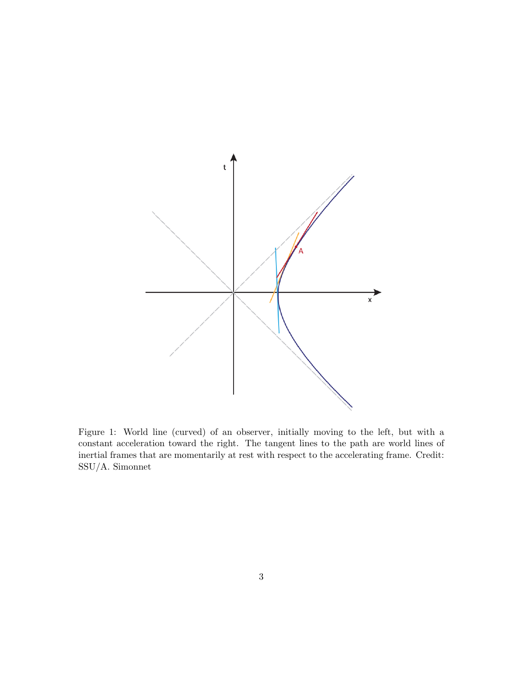

<span id="page-2-0"></span>Figure 1: World line (curved) of an observer, initially moving to the left, but with a constant acceleration toward the right. The tangent lines to the path are world lines of inertial frames that are momentarily at rest with respect to the accelerating frame. Credit: SSU/A. Simonnet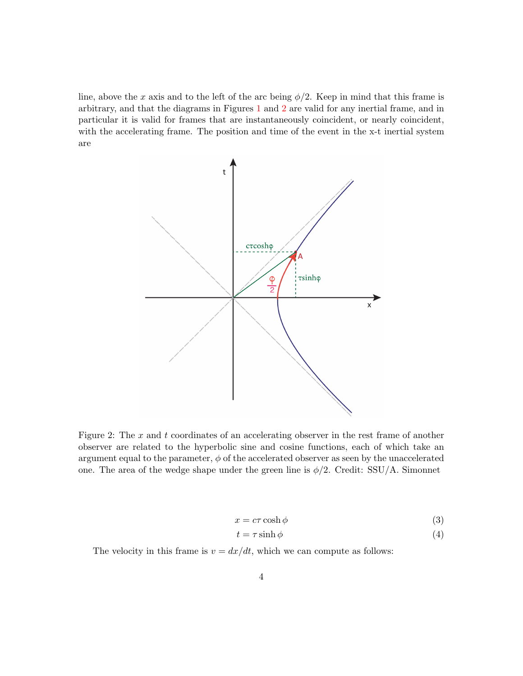line, above the x axis and to the left of the arc being  $\phi/2$ . Keep in mind that this frame is arbitrary, and that the diagrams in Figures [1](#page-2-0) and [2](#page-3-0) are valid for any inertial frame, and in particular it is valid for frames that are instantaneously coincident, or nearly coincident, with the accelerating frame. The position and time of the event in the x-t inertial system are



<span id="page-3-0"></span>Figure 2: The  $x$  and  $t$  coordinates of an accelerating observer in the rest frame of another observer are related to the hyperbolic sine and cosine functions, each of which take an argument equal to the parameter,  $\phi$  of the accelerated observer as seen by the unaccelerated one. The area of the wedge shape under the green line is  $\phi/2$ . Credit: SSU/A. Simonnet

$$
x = c\tau \cosh \phi \tag{3}
$$

$$
t = \tau \sinh \phi \tag{4}
$$

The velocity in this frame is  $v = dx/dt$ , which we can compute as follows: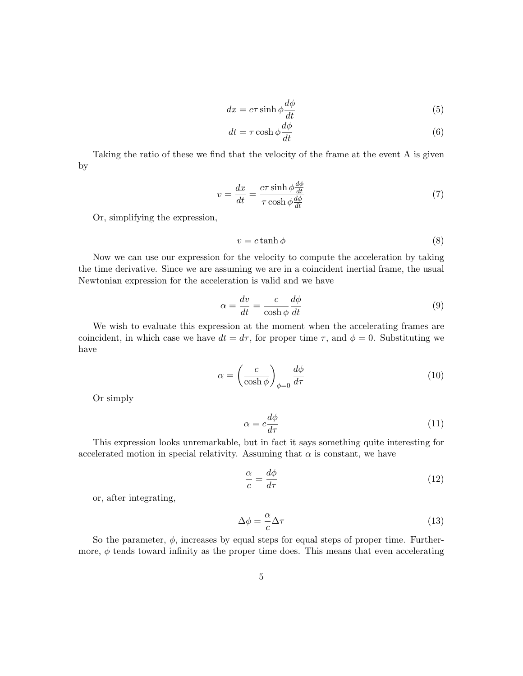$$
dx = c\tau \sinh \phi \frac{d\phi}{dt} \tag{5}
$$

$$
dt = \tau \cosh \phi \frac{d\phi}{dt} \tag{6}
$$

Taking the ratio of these we find that the velocity of the frame at the event A is given by

$$
v = \frac{dx}{dt} = \frac{c\tau \sinh\phi \frac{d\phi}{dt}}{\tau \cosh\phi \frac{d\phi}{dt}}
$$
(7)

Or, simplifying the expression,

<span id="page-4-0"></span>
$$
v = c \tanh \phi \tag{8}
$$

Now we can use our expression for the velocity to compute the acceleration by taking the time derivative. Since we are assuming we are in a coincident inertial frame, the usual Newtonian expression for the acceleration is valid and we have

$$
\alpha = \frac{dv}{dt} = \frac{c}{\cosh \phi} \frac{d\phi}{dt} \tag{9}
$$

We wish to evaluate this expression at the moment when the accelerating frames are coincident, in which case we have  $dt = d\tau$ , for proper time  $\tau$ , and  $\phi = 0$ . Substituting we have

$$
\alpha = \left(\frac{c}{\cosh \phi}\right)_{\phi=0} \frac{d\phi}{d\tau} \tag{10}
$$

Or simply

$$
\alpha = c \frac{d\phi}{d\tau} \tag{11}
$$

This expression looks unremarkable, but in fact it says something quite interesting for accelerated motion in special relativity. Assuming that  $\alpha$  is constant, we have

$$
\frac{\alpha}{c} = \frac{d\phi}{d\tau} \tag{12}
$$

or, after integrating,

$$
\Delta \phi = -\frac{\alpha}{c} \Delta \tau \tag{13}
$$

So the parameter,  $\phi$ , increases by equal steps for equal steps of proper time. Furthermore,  $\phi$  tends toward infinity as the proper time does. This means that even accelerating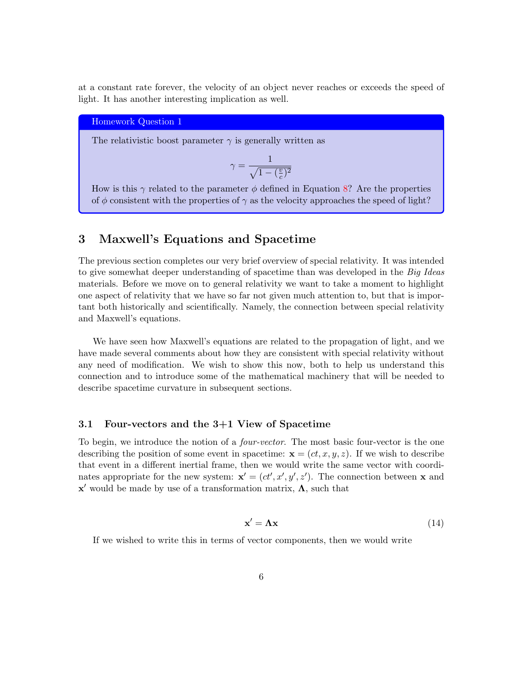at a constant rate forever, the velocity of an object never reaches or exceeds the speed of light. It has another interesting implication as well.

### Homework Question 1

The relativistic boost parameter  $\gamma$  is generally written as

 $\gamma$ 

$$
t=\frac{1}{\sqrt{1-(\frac{v}{c})^2}}
$$

How is this  $\gamma$  related to the parameter  $\phi$  defined in Equation [8?](#page-4-0) Are the properties of  $\phi$  consistent with the properties of  $\gamma$  as the velocity approaches the speed of light?

## 3 Maxwell's Equations and Spacetime

The previous section completes our very brief overview of special relativity. It was intended to give somewhat deeper understanding of spacetime than was developed in the Big Ideas materials. Before we move on to general relativity we want to take a moment to highlight one aspect of relativity that we have so far not given much attention to, but that is important both historically and scientifically. Namely, the connection between special relativity and Maxwell's equations.

We have seen how Maxwell's equations are related to the propagation of light, and we have made several comments about how they are consistent with special relativity without any need of modification. We wish to show this now, both to help us understand this connection and to introduce some of the mathematical machinery that will be needed to describe spacetime curvature in subsequent sections.

#### 3.1 Four-vectors and the 3+1 View of Spacetime

To begin, we introduce the notion of a *four-vector*. The most basic four-vector is the one describing the position of some event in spacetime:  $\mathbf{x} = (ct, x, y, z)$ . If we wish to describe that event in a different inertial frame, then we would write the same vector with coordinates appropriate for the new system:  $\mathbf{x}' = (ct', x', y', z')$ . The connection between x and  $x'$  would be made by use of a transformation matrix,  $\Lambda$ , such that

$$
\mathbf{x}' = \mathbf{\Lambda}\mathbf{x} \tag{14}
$$

If we wished to write this in terms of vector components, then we would write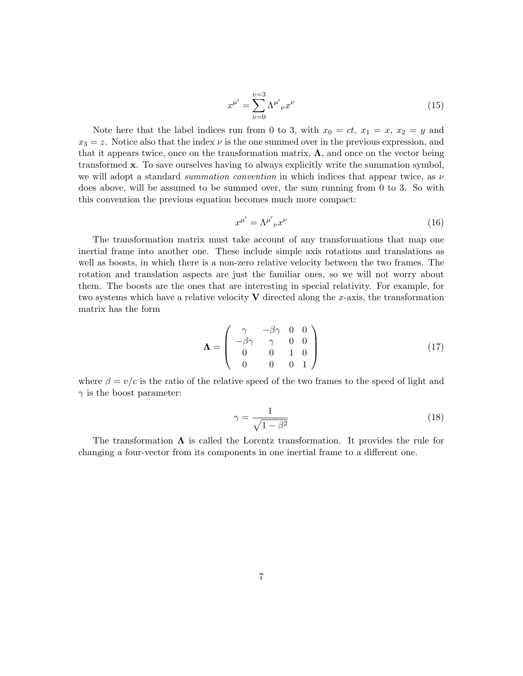$$
x^{\mu'} = \sum_{\nu=0}^{\nu=3} \Lambda^{\mu'}_{\nu} x^{\nu}
$$
 (15)

Note here that the label indices run from 0 to 3, with  $x_0 = ct, x_1 = x, x_2 = y$  and  $x_3 = z$ . Notice also that the index  $\nu$  is the one summed over in the previous expression, and that it appears twice, once on the transformation matrix,  $\Lambda$ , and once on the vector being transformed x. To save ourselves having to always explicitly write the summation symbol, we will adopt a standard *summation convention* in which indices that appear twice, as  $\nu$ does above, will be assumed to be summed over, the sum running from 0 to 3. So with this convention the previous equation becomes much more compact:

$$
x^{\mu'} = \Lambda^{\mu'}{}_{\nu} x^{\nu} \tag{16}
$$

The transformation matrix must take account of any transformations that map one inertial frame into another one. These include simple axis rotations and translations as well as boosts, in which there is a non-zero relative velocity between the two frames. The rotation and translation aspects are just the familiar ones, so we will not worry about them. The boosts are the ones that are interesting in special relativity. For example, for two systems which have a relative velocity  $V$  directed along the x-axis, the transformation matrix has the form

$$
\Lambda = \begin{pmatrix} \gamma & -\beta\gamma & 0 & 0 \\ -\beta\gamma & \gamma & 0 & 0 \\ 0 & 0 & 1 & 0 \\ 0 & 0 & 0 & 1 \end{pmatrix}
$$
(17)

where  $\beta = v/c$  is the ratio of the relative speed of the two frames to the speed of light and  $\gamma$  is the boost parameter:

$$
\gamma = \frac{1}{\sqrt{1 - \beta^2}}\tag{18}
$$

The transformation  $\Lambda$  is called the Lorentz transformation. It provides the rule for changing a four-vector from its components in one inertial frame to a different one.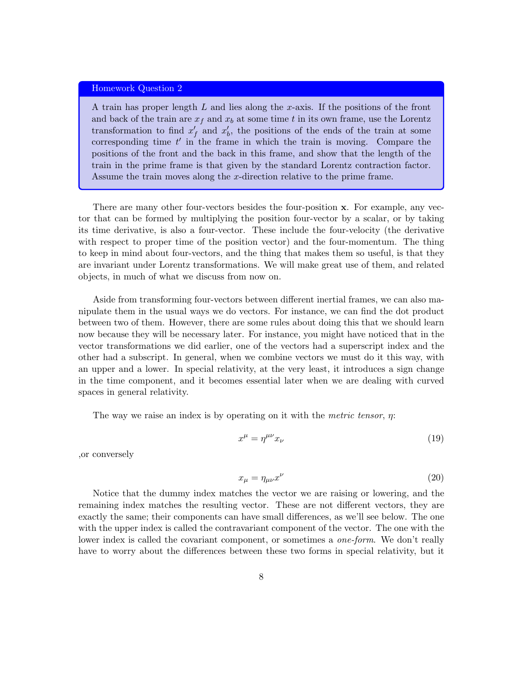#### Homework Question 2

A train has proper length  $L$  and lies along the x-axis. If the positions of the front and back of the train are  $x_f$  and  $x_b$  at some time t in its own frame, use the Lorentz transformation to find  $x'_f$  and  $x'_b$ , the positions of the ends of the train at some corresponding time  $t'$  in the frame in which the train is moving. Compare the positions of the front and the back in this frame, and show that the length of the train in the prime frame is that given by the standard Lorentz contraction factor. Assume the train moves along the x-direction relative to the prime frame.

There are many other four-vectors besides the four-position x. For example, any vector that can be formed by multiplying the position four-vector by a scalar, or by taking its time derivative, is also a four-vector. These include the four-velocity (the derivative with respect to proper time of the position vector) and the four-momentum. The thing to keep in mind about four-vectors, and the thing that makes them so useful, is that they are invariant under Lorentz transformations. We will make great use of them, and related objects, in much of what we discuss from now on.

Aside from transforming four-vectors between different inertial frames, we can also manipulate them in the usual ways we do vectors. For instance, we can find the dot product between two of them. However, there are some rules about doing this that we should learn now because they will be necessary later. For instance, you might have noticed that in the vector transformations we did earlier, one of the vectors had a superscript index and the other had a subscript. In general, when we combine vectors we must do it this way, with an upper and a lower. In special relativity, at the very least, it introduces a sign change in the time component, and it becomes essential later when we are dealing with curved spaces in general relativity.

The way we raise an index is by operating on it with the metric tensor,  $\eta$ :

$$
x^{\mu} = \eta^{\mu\nu} x_{\nu} \tag{19}
$$

,or conversely

$$
x_{\mu} = \eta_{\mu\nu} x^{\nu} \tag{20}
$$

Notice that the dummy index matches the vector we are raising or lowering, and the remaining index matches the resulting vector. These are not different vectors, they are exactly the same; their components can have small differences, as we'll see below. The one with the upper index is called the contravariant component of the vector. The one with the lower index is called the covariant component, or sometimes a *one-form*. We don't really have to worry about the differences between these two forms in special relativity, but it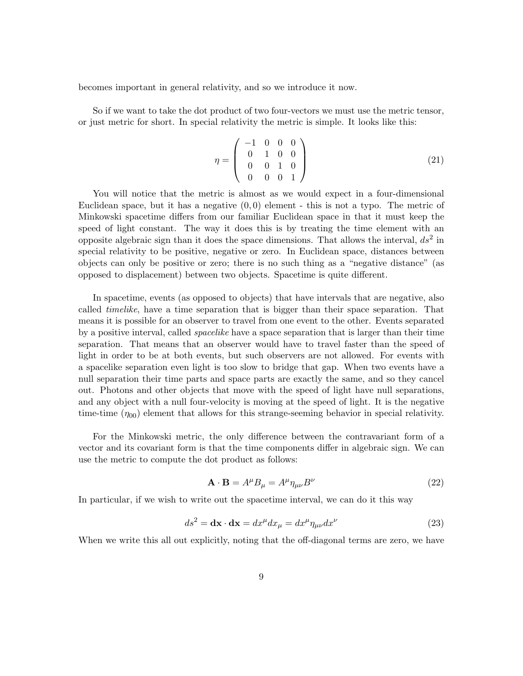becomes important in general relativity, and so we introduce it now.

So if we want to take the dot product of two four-vectors we must use the metric tensor, or just metric for short. In special relativity the metric is simple. It looks like this:

$$
\eta = \left(\begin{array}{cccc} -1 & 0 & 0 & 0 \\ 0 & 1 & 0 & 0 \\ 0 & 0 & 1 & 0 \\ 0 & 0 & 0 & 1 \end{array}\right) (21)
$$

You will notice that the metric is almost as we would expect in a four-dimensional Euclidean space, but it has a negative  $(0, 0)$  element - this is not a typo. The metric of Minkowski spacetime differs from our familiar Euclidean space in that it must keep the speed of light constant. The way it does this is by treating the time element with an opposite algebraic sign than it does the space dimensions. That allows the interval,  $ds^2$  in special relativity to be positive, negative or zero. In Euclidean space, distances between objects can only be positive or zero; there is no such thing as a "negative distance" (as opposed to displacement) between two objects. Spacetime is quite different.

In spacetime, events (as opposed to objects) that have intervals that are negative, also called timelike, have a time separation that is bigger than their space separation. That means it is possible for an observer to travel from one event to the other. Events separated by a positive interval, called spacelike have a space separation that is larger than their time separation. That means that an observer would have to travel faster than the speed of light in order to be at both events, but such observers are not allowed. For events with a spacelike separation even light is too slow to bridge that gap. When two events have a null separation their time parts and space parts are exactly the same, and so they cancel out. Photons and other objects that move with the speed of light have null separations, and any object with a null four-velocity is moving at the speed of light. It is the negative time-time  $(\eta_{00})$  element that allows for this strange-seeming behavior in special relativity.

For the Minkowski metric, the only difference between the contravariant form of a vector and its covariant form is that the time components differ in algebraic sign. We can use the metric to compute the dot product as follows:

$$
\mathbf{A} \cdot \mathbf{B} = A^{\mu} B_{\mu} = A^{\mu} \eta_{\mu\nu} B^{\nu} \tag{22}
$$

In particular, if we wish to write out the spacetime interval, we can do it this way

$$
ds^{2} = \mathbf{dx} \cdot \mathbf{dx} = dx^{\mu} dx_{\mu} = dx^{\mu} \eta_{\mu\nu} dx^{\nu}
$$
 (23)

When we write this all out explicitly, noting that the off-diagonal terms are zero, we have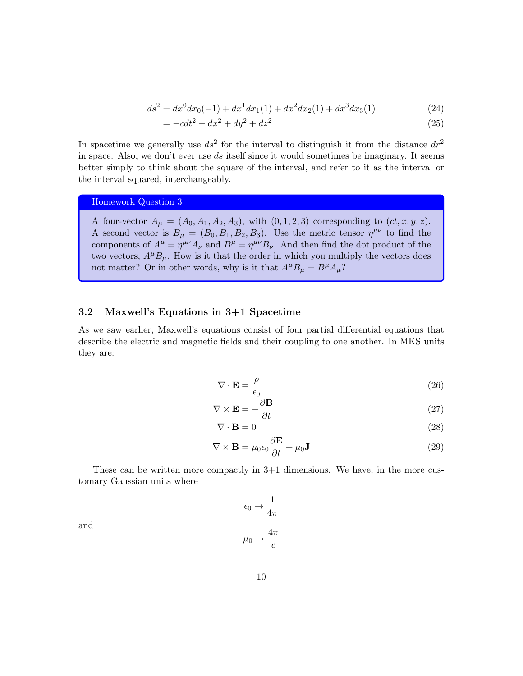$$
ds^{2} = dx^{0}dx_{0}(-1) + dx^{1}dx_{1}(1) + dx^{2}dx_{2}(1) + dx^{3}dx_{3}(1)
$$
\n(24)

$$
= -cdt^2 + dx^2 + dy^2 + dz^2
$$
\n(25)

In spacetime we generally use  $ds^2$  for the interval to distinguish it from the distance  $dr^2$ in space. Also, we don't ever use ds itself since it would sometimes be imaginary. It seems better simply to think about the square of the interval, and refer to it as the interval or the interval squared, interchangeably.

Homework Question 3

A four-vector  $A_{\mu} = (A_0, A_1, A_2, A_3)$ , with  $(0, 1, 2, 3)$  corresponding to  $(ct, x, y, z)$ . A second vector is  $B_{\mu} = (B_0, B_1, B_2, B_3)$ . Use the metric tensor  $\eta^{\mu\nu}$  to find the components of  $A^{\mu} = \eta^{\mu\nu} A_{\nu}$  and  $B^{\mu} = \eta^{\mu\nu} B_{\nu}$ . And then find the dot product of the two vectors,  $A^{\mu}B_{\mu}$ . How is it that the order in which you multiply the vectors does not matter? Or in other words, why is it that  $A^{\mu}B_{\mu} = B^{\mu}A_{\mu}$ ?

### 3.2 Maxwell's Equations in 3+1 Spacetime

As we saw earlier, Maxwell's equations consist of four partial differential equations that describe the electric and magnetic fields and their coupling to one another. In MKS units they are:

<span id="page-9-0"></span>
$$
\nabla \cdot \mathbf{E} = \frac{\rho}{\epsilon_0} \tag{26}
$$

$$
\nabla \times \mathbf{E} = -\frac{\partial \mathbf{B}}{\partial t}
$$
 (27)

$$
\nabla \cdot \mathbf{B} = 0 \tag{28}
$$

$$
\nabla \times \mathbf{B} = \mu_0 \epsilon_0 \frac{\partial \mathbf{E}}{\partial t} + \mu_0 \mathbf{J}
$$
 (29)

These can be written more compactly in 3+1 dimensions. We have, in the more customary Gaussian units where

> <span id="page-9-1"></span> $\epsilon_0 \rightarrow \frac{1}{4}$  $4\pi$  $\mu_0 \rightarrow \frac{4\pi}{\sqrt{2}}$ c

and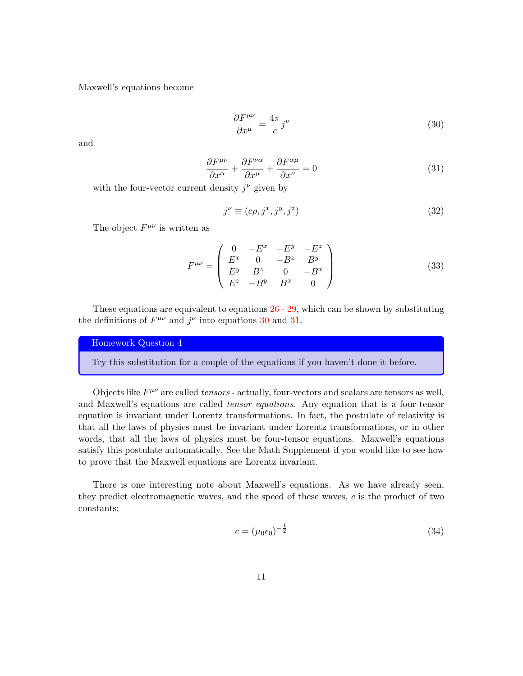Maxwell's equations become

<span id="page-10-0"></span>
$$
\frac{\partial F^{\mu\nu}}{\partial x^{\mu}} = \frac{4\pi}{c} j^{\nu} \tag{30}
$$

and

<span id="page-10-1"></span>
$$
\frac{\partial F^{\mu\nu}}{\partial x^{\alpha}} + \frac{\partial F^{\nu\alpha}}{\partial x^{\mu}} + \frac{\partial F^{\alpha\mu}}{\partial x^{\nu}} = 0
$$
\n(31)

with the four-vector current density  $j^{\nu}$  given by

$$
j^{\nu} \equiv (c\rho, j^x, j^y, j^z) \tag{32}
$$

The object  $F^{\mu\nu}$  is written as

$$
F^{\mu\nu} = \begin{pmatrix} 0 & -E^x & -E^y & -E^z \\ E^x & 0 & -B^z & B^y \\ E^y & B^z & 0 & -B^x \\ E^z & -B^y & B^x & 0 \end{pmatrix}
$$
 (33)

These equations are equivalent to equations [26](#page-9-0) - [29,](#page-9-1) which can be shown by substituting the definitions of  $F^{\mu\nu}$  and  $j^{\nu}$  into equations [30](#page-10-0) and [31.](#page-10-1)

Homework Question 4

Try this substitution for a couple of the equations if you haven't done it before.

Objects like  $F^{\mu\nu}$  are called tensors - actually, four-vectors and scalars are tensors as well, and Maxwell's equations are called tensor equations. Any equation that is a four-tensor equation is invariant under Lorentz transformations. In fact, the postulate of relativity is that all the laws of physics must be invariant under Lorentz transformations, or in other words, that all the laws of physics must be four-tensor equations. Maxwell's equations satisfy this postulate automatically. See the Math Supplement if you would like to see how to prove that the Maxwell equations are Lorentz invariant.

There is one interesting note about Maxwell's equations. As we have already seen, they predict electromagnetic waves, and the speed of these waves, c is the product of two constants:

$$
c = (\mu_0 \epsilon_0)^{-\frac{1}{2}} \tag{34}
$$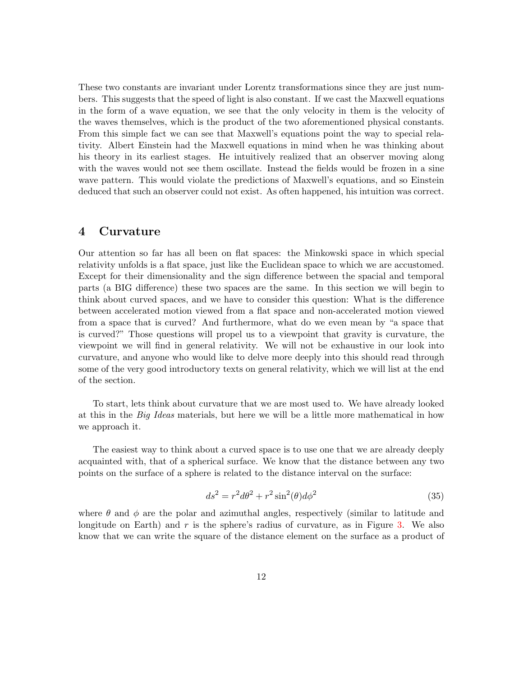These two constants are invariant under Lorentz transformations since they are just numbers. This suggests that the speed of light is also constant. If we cast the Maxwell equations in the form of a wave equation, we see that the only velocity in them is the velocity of the waves themselves, which is the product of the two aforementioned physical constants. From this simple fact we can see that Maxwell's equations point the way to special relativity. Albert Einstein had the Maxwell equations in mind when he was thinking about his theory in its earliest stages. He intuitively realized that an observer moving along with the waves would not see them oscillate. Instead the fields would be frozen in a sine wave pattern. This would violate the predictions of Maxwell's equations, and so Einstein deduced that such an observer could not exist. As often happened, his intuition was correct.

### 4 Curvature

Our attention so far has all been on flat spaces: the Minkowski space in which special relativity unfolds is a flat space, just like the Euclidean space to which we are accustomed. Except for their dimensionality and the sign difference between the spacial and temporal parts (a BIG difference) these two spaces are the same. In this section we will begin to think about curved spaces, and we have to consider this question: What is the difference between accelerated motion viewed from a flat space and non-accelerated motion viewed from a space that is curved? And furthermore, what do we even mean by "a space that is curved?" Those questions will propel us to a viewpoint that gravity is curvature, the viewpoint we will find in general relativity. We will not be exhaustive in our look into curvature, and anyone who would like to delve more deeply into this should read through some of the very good introductory texts on general relativity, which we will list at the end of the section.

To start, lets think about curvature that we are most used to. We have already looked at this in the Big Ideas materials, but here we will be a little more mathematical in how we approach it.

The easiest way to think about a curved space is to use one that we are already deeply acquainted with, that of a spherical surface. We know that the distance between any two points on the surface of a sphere is related to the distance interval on the surface:

$$
ds^2 = r^2 d\theta^2 + r^2 \sin^2(\theta) d\phi^2 \tag{35}
$$

where  $\theta$  and  $\phi$  are the polar and azimuthal angles, respectively (similar to latitude and longitude on Earth) and r is the sphere's radius of curvature, as in Figure [3.](#page-12-0) We also know that we can write the square of the distance element on the surface as a product of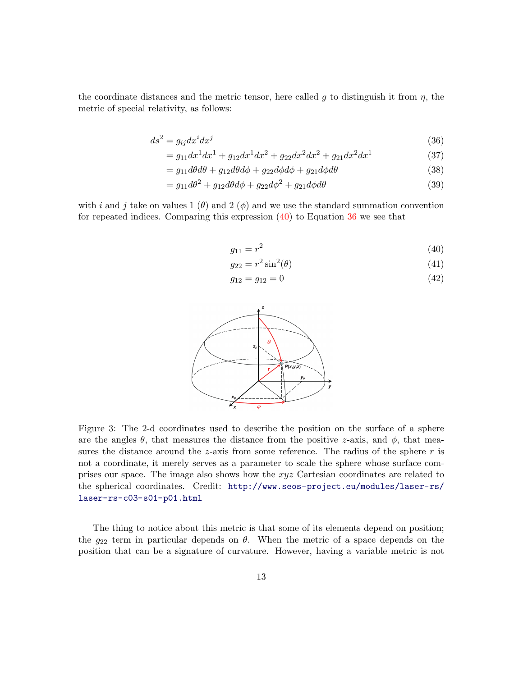the coordinate distances and the metric tensor, here called g to distinguish it from  $\eta$ , the metric of special relativity, as follows:

$$
ds^2 = g_{ij}dx^i dx^j \tag{36}
$$

$$
= g_{11}dx^1 dx^1 + g_{12}dx^1 dx^2 + g_{22}dx^2 dx^2 + g_{21}dx^2 dx^1
$$
\n(37)

$$
= g_{11}d\theta d\theta + g_{12}d\theta d\phi + g_{22}d\phi d\phi + g_{21}d\phi d\theta \tag{38}
$$

$$
=g_{11}d\theta^2 + g_{12}d\theta d\phi + g_{22}d\phi^2 + g_{21}d\phi d\theta
$$
\n(39)

with i and j take on values 1  $(\theta)$  and 2  $(\phi)$  and we use the standard summation convention for repeated indices. Comparing this expression  $(40)$  to Equation [36](#page-12-2) we see that

<span id="page-12-2"></span><span id="page-12-1"></span>
$$
g_{11} = r^2 \tag{40}
$$

$$
g_{22} = r^2 \sin^2(\theta) \tag{41}
$$

$$
g_{12} = g_{12} = 0 \tag{42}
$$



<span id="page-12-0"></span>Figure 3: The 2-d coordinates used to describe the position on the surface of a sphere are the angles  $\theta$ , that measures the distance from the positive z-axis, and  $\phi$ , that measures the distance around the z-axis from some reference. The radius of the sphere  $r$  is not a coordinate, it merely serves as a parameter to scale the sphere whose surface comprises our space. The image also shows how the xyz Cartesian coordinates are related to the spherical coordinates. Credit: [http://www.seos-project.eu/modules/laser-rs/](http://www.seos-project.eu/modules/laser-rs/laser-rs-c03-s01-p01.html) [laser-rs-c03-s01-p01.html](http://www.seos-project.eu/modules/laser-rs/laser-rs-c03-s01-p01.html)

The thing to notice about this metric is that some of its elements depend on position; the  $g_{22}$  term in particular depends on  $\theta$ . When the metric of a space depends on the position that can be a signature of curvature. However, having a variable metric is not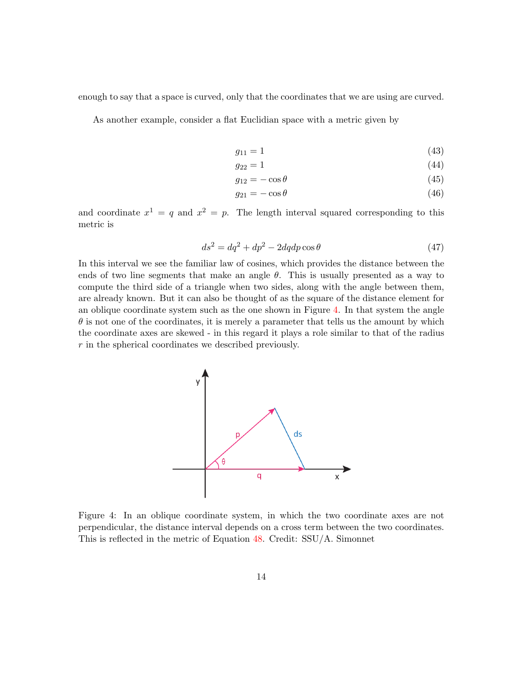enough to say that a space is curved, only that the coordinates that we are using are curved.

As another example, consider a flat Euclidian space with a metric given by

$$
g_{11} = 1 \tag{43}
$$

$$
g_{22} = 1 \tag{44}
$$

$$
g_{12} = -\cos\theta\tag{45}
$$

$$
g_{21} = -\cos\theta\tag{46}
$$

and coordinate  $x^1 = q$  and  $x^2 = p$ . The length interval squared corresponding to this metric is

$$
ds^2 = dq^2 + dp^2 - 2dqdp\cos\theta\tag{47}
$$

In this interval we see the familiar law of cosines, which provides the distance between the ends of two line segments that make an angle  $\theta$ . This is usually presented as a way to compute the third side of a triangle when two sides, along with the angle between them, are already known. But it can also be thought of as the square of the distance element for an oblique coordinate system such as the one shown in Figure [4.](#page-13-0) In that system the angle  $\theta$  is not one of the coordinates, it is merely a parameter that tells us the amount by which the coordinate axes are skewed - in this regard it plays a role similar to that of the radius r in the spherical coordinates we described previously.



<span id="page-13-0"></span>Figure 4: In an oblique coordinate system, in which the two coordinate axes are not perpendicular, the distance interval depends on a cross term between the two coordinates. This is reflected in the metric of Equation [48.](#page-15-0) Credit: SSU/A. Simonnet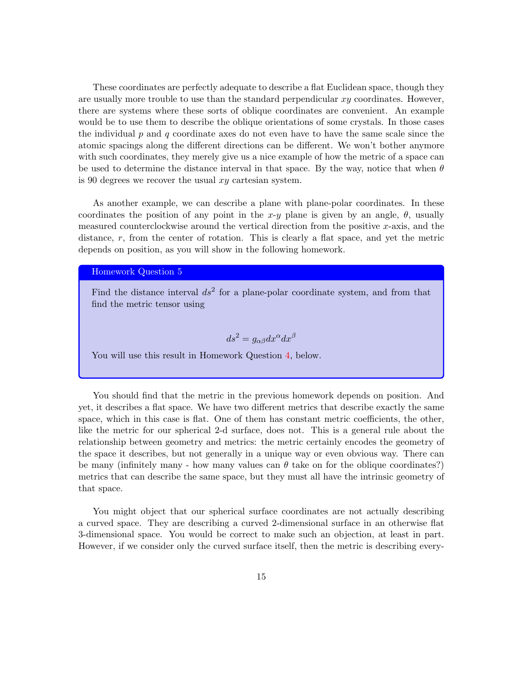These coordinates are perfectly adequate to describe a flat Euclidean space, though they are usually more trouble to use than the standard perpendicular  $xy$  coordinates. However, there are systems where these sorts of oblique coordinates are convenient. An example would be to use them to describe the oblique orientations of some crystals. In those cases the individual  $p$  and  $q$  coordinate axes do not even have to have the same scale since the atomic spacings along the different directions can be different. We won't bother anymore with such coordinates, they merely give us a nice example of how the metric of a space can be used to determine the distance interval in that space. By the way, notice that when  $\theta$ is 90 degrees we recover the usual xy cartesian system.

As another example, we can describe a plane with plane-polar coordinates. In these coordinates the position of any point in the x-y plane is given by an angle,  $\theta$ , usually measured counterclockwise around the vertical direction from the positive  $x$ -axis, and the distance, r, from the center of rotation. This is clearly a flat space, and yet the metric depends on position, as you will show in the following homework.

Homework Question 5

Find the distance interval  $ds^2$  for a plane-polar coordinate system, and from that find the metric tensor using

$$
ds^2 = g_{\alpha\beta} dx^{\alpha} dx^{\beta}
$$

You will use this result in Homework Question [4,](#page-19-0) below.

You should find that the metric in the previous homework depends on position. And yet, it describes a flat space. We have two different metrics that describe exactly the same space, which in this case is flat. One of them has constant metric coefficients, the other, like the metric for our spherical 2-d surface, does not. This is a general rule about the relationship between geometry and metrics: the metric certainly encodes the geometry of the space it describes, but not generally in a unique way or even obvious way. There can be many (infinitely many - how many values can  $\theta$  take on for the oblique coordinates?) metrics that can describe the same space, but they must all have the intrinsic geometry of that space.

You might object that our spherical surface coordinates are not actually describing a curved space. They are describing a curved 2-dimensional surface in an otherwise flat 3-dimensional space. You would be correct to make such an objection, at least in part. However, if we consider only the curved surface itself, then the metric is describing every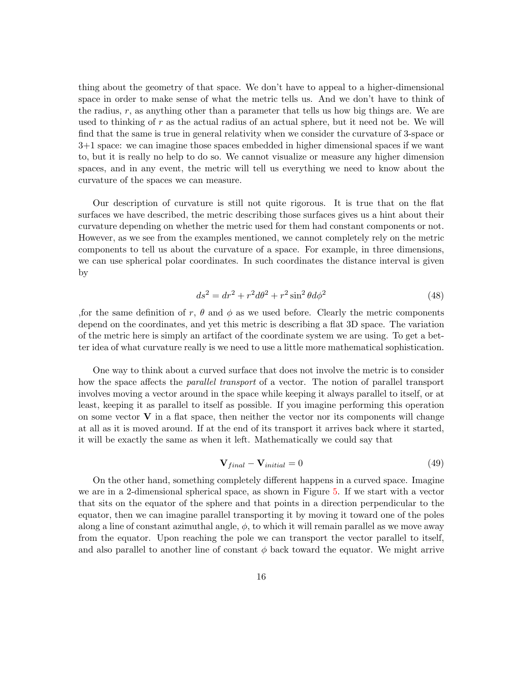thing about the geometry of that space. We don't have to appeal to a higher-dimensional space in order to make sense of what the metric tells us. And we don't have to think of the radius,  $r$ , as anything other than a parameter that tells us how big things are. We are used to thinking of  $r$  as the actual radius of an actual sphere, but it need not be. We will find that the same is true in general relativity when we consider the curvature of 3-space or 3+1 space: we can imagine those spaces embedded in higher dimensional spaces if we want to, but it is really no help to do so. We cannot visualize or measure any higher dimension spaces, and in any event, the metric will tell us everything we need to know about the curvature of the spaces we can measure.

Our description of curvature is still not quite rigorous. It is true that on the flat surfaces we have described, the metric describing those surfaces gives us a hint about their curvature depending on whether the metric used for them had constant components or not. However, as we see from the examples mentioned, we cannot completely rely on the metric components to tell us about the curvature of a space. For example, in three dimensions, we can use spherical polar coordinates. In such coordinates the distance interval is given by

<span id="page-15-0"></span>
$$
ds^2 = dr^2 + r^2 d\theta^2 + r^2 \sin^2 \theta d\phi^2 \tag{48}
$$

, for the same definition of r,  $\theta$  and  $\phi$  as we used before. Clearly the metric components depend on the coordinates, and yet this metric is describing a flat 3D space. The variation of the metric here is simply an artifact of the coordinate system we are using. To get a better idea of what curvature really is we need to use a little more mathematical sophistication.

One way to think about a curved surface that does not involve the metric is to consider how the space affects the parallel transport of a vector. The notion of parallel transport involves moving a vector around in the space while keeping it always parallel to itself, or at least, keeping it as parallel to itself as possible. If you imagine performing this operation on some vector  $V$  in a flat space, then neither the vector nor its components will change at all as it is moved around. If at the end of its transport it arrives back where it started, it will be exactly the same as when it left. Mathematically we could say that

$$
\mathbf{V}_{final} - \mathbf{V}_{initial} = 0 \tag{49}
$$

On the other hand, something completely different happens in a curved space. Imagine we are in a 2-dimensional spherical space, as shown in Figure [5.](#page-16-0) If we start with a vector that sits on the equator of the sphere and that points in a direction perpendicular to the equator, then we can imagine parallel transporting it by moving it toward one of the poles along a line of constant azimuthal angle,  $\phi$ , to which it will remain parallel as we move away from the equator. Upon reaching the pole we can transport the vector parallel to itself, and also parallel to another line of constant  $\phi$  back toward the equator. We might arrive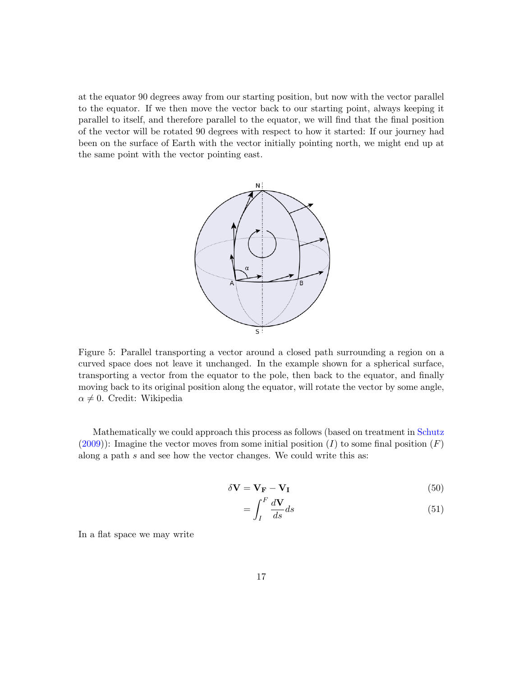at the equator 90 degrees away from our starting position, but now with the vector parallel to the equator. If we then move the vector back to our starting point, always keeping it parallel to itself, and therefore parallel to the equator, we will find that the final position of the vector will be rotated 90 degrees with respect to how it started: If our journey had been on the surface of Earth with the vector initially pointing north, we might end up at the same point with the vector pointing east.



<span id="page-16-0"></span>Figure 5: Parallel transporting a vector around a closed path surrounding a region on a curved space does not leave it unchanged. In the example shown for a spherical surface, transporting a vector from the equator to the pole, then back to the equator, and finally moving back to its original position along the equator, will rotate the vector by some angle,  $\alpha \neq 0$ . Credit: Wikipedia

Mathematically we could approach this process as follows (based on treatment in [Schutz](#page-35-1)  $(2009)$ : Imagine the vector moves from some initial position (I) to some final position (F) along a path s and see how the vector changes. We could write this as:

$$
\delta \mathbf{V} = \mathbf{V}_{\mathbf{F}} - \mathbf{V}_{\mathbf{I}} \tag{50}
$$

$$
=\int_{I}^{F}\frac{d\mathbf{V}}{ds}ds\tag{51}
$$

In a flat space we may write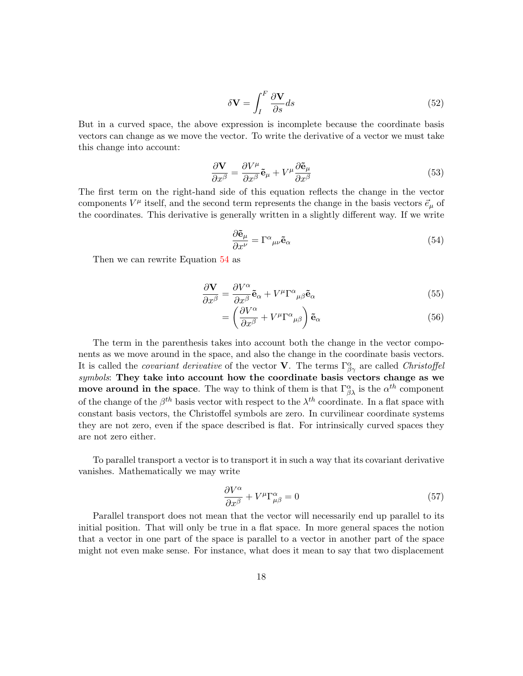$$
\delta \mathbf{V} = \int_{I}^{F} \frac{\partial \mathbf{V}}{\partial s} ds
$$
\n(52)

But in a curved space, the above expression is incomplete because the coordinate basis vectors can change as we move the vector. To write the derivative of a vector we must take this change into account:

$$
\frac{\partial \mathbf{V}}{\partial x^{\beta}} = \frac{\partial V^{\mu}}{\partial x^{\beta}} \tilde{\mathbf{e}}_{\mu} + V^{\mu} \frac{\partial \tilde{\mathbf{e}}_{\mu}}{\partial x^{\beta}}
$$
(53)

The first term on the right-hand side of this equation reflects the change in the vector components  $V^{\mu}$  itself, and the second term represents the change in the basis vectors  $\vec{e}_{\mu}$  of the coordinates. This derivative is generally written in a slightly different way. If we write

<span id="page-17-0"></span>
$$
\frac{\partial \tilde{\mathbf{e}}_{\mu}}{\partial x^{\nu}} = \Gamma^{\alpha}{}_{\mu\nu} \tilde{\mathbf{e}}_{\alpha} \tag{54}
$$

Then we can rewrite Equation [54](#page-17-0) as

$$
\frac{\partial \mathbf{V}}{\partial x^{\beta}} = \frac{\partial V^{\alpha}}{\partial x^{\beta}} \tilde{\mathbf{e}}_{\alpha} + V^{\mu} \Gamma^{\alpha}{}_{\mu\beta} \tilde{\mathbf{e}}_{\alpha} \tag{55}
$$

$$
= \left(\frac{\partial V^{\alpha}}{\partial x^{\beta}} + V^{\mu} \Gamma^{\alpha}{}_{\mu\beta}\right) \tilde{\mathbf{e}}_{\alpha} \tag{56}
$$

The term in the parenthesis takes into account both the change in the vector components as we move around in the space, and also the change in the coordinate basis vectors. It is called the *covariant derivative* of the vector **V**. The terms  $\Gamma^{\alpha}_{\beta\gamma}$  are called *Christoffel* symbols: They take into account how the coordinate basis vectors change as we move around in the space. The way to think of them is that  $\Gamma^{\alpha}_{\beta\lambda}$  is the  $\alpha^{th}$  component of the change of the  $\beta^{th}$  basis vector with respect to the  $\lambda^{th}$  coordinate. In a flat space with constant basis vectors, the Christoffel symbols are zero. In curvilinear coordinate systems they are not zero, even if the space described is flat. For intrinsically curved spaces they are not zero either.

To parallel transport a vector is to transport it in such a way that its covariant derivative vanishes. Mathematically we may write

$$
\frac{\partial V^{\alpha}}{\partial x^{\beta}} + V^{\mu} \Gamma^{\alpha}_{\mu\beta} = 0 \tag{57}
$$

Parallel transport does not mean that the vector will necessarily end up parallel to its initial position. That will only be true in a flat space. In more general spaces the notion that a vector in one part of the space is parallel to a vector in another part of the space might not even make sense. For instance, what does it mean to say that two displacement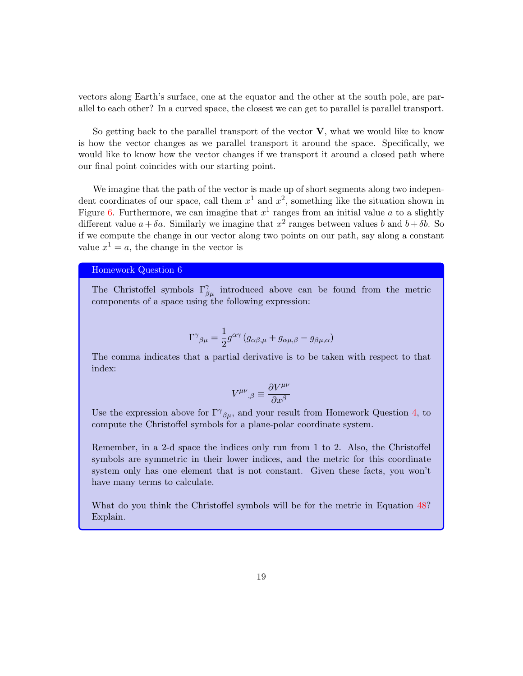vectors along Earth's surface, one at the equator and the other at the south pole, are parallel to each other? In a curved space, the closest we can get to parallel is parallel transport.

So getting back to the parallel transport of the vector  $V$ , what we would like to know is how the vector changes as we parallel transport it around the space. Specifically, we would like to know how the vector changes if we transport it around a closed path where our final point coincides with our starting point.

We imagine that the path of the vector is made up of short segments along two independent coordinates of our space, call them  $x^1$  and  $x^2$ , something like the situation shown in Figure [6.](#page-19-1) Furthermore, we can imagine that  $x^1$  ranges from an initial value a to a slightly different value  $a + \delta a$ . Similarly we imagine that  $x^2$  ranges between values b and  $b + \delta b$ . So if we compute the change in our vector along two points on our path, say along a constant value  $x^1 = a$ , the change in the vector is

### Homework Question 6

The Christoffel symbols  $\Gamma^{\gamma}_{\beta\mu}$  introduced above can be found from the metric components of a space using the following expression:

$$
\Gamma^{\gamma}{}_{\beta\mu} = \frac{1}{2}g^{\alpha\gamma}\left(g_{\alpha\beta,\mu} + g_{\alpha\mu,\beta} - g_{\beta\mu,\alpha}\right)
$$

The comma indicates that a partial derivative is to be taken with respect to that index:

$$
V^{\mu\nu}{}_{,\beta} \equiv \frac{\partial V^{\mu\nu}}{\partial x^{\beta}}
$$

Use the expression above for  $\Gamma^{\gamma}{}_{\beta\mu}$ , and your result from Homework Question [4,](#page-13-0) to compute the Christoffel symbols for a plane-polar coordinate system.

Remember, in a 2-d space the indices only run from 1 to 2. Also, the Christoffel symbols are symmetric in their lower indices, and the metric for this coordinate system only has one element that is not constant. Given these facts, you won't have many terms to calculate.

What do you think the Christoffel symbols will be for the metric in Equation [48?](#page-15-0) Explain.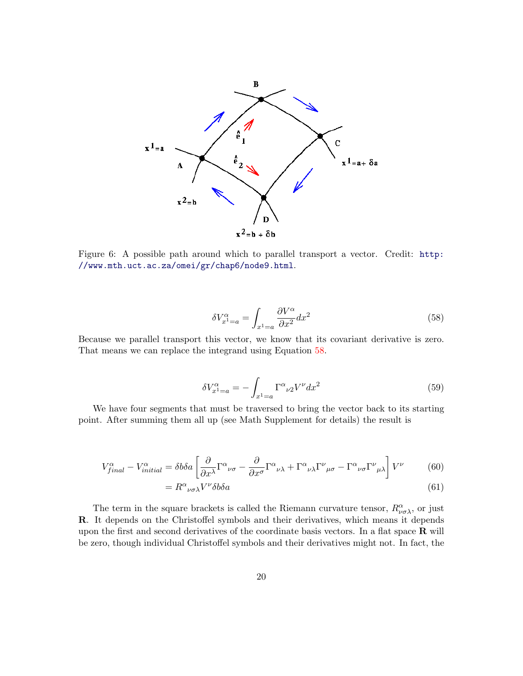

<span id="page-19-1"></span>Figure 6: A possible path around which to parallel transport a vector. Credit: [http:](http://www.mth.uct.ac.za/omei/gr/chap6/node9.html) [//www.mth.uct.ac.za/omei/gr/chap6/node9.html](http://www.mth.uct.ac.za/omei/gr/chap6/node9.html).

<span id="page-19-0"></span>
$$
\delta V_{x^1=a}^{\alpha} = \int_{x^1=a} \frac{\partial V^{\alpha}}{\partial x^2} dx^2 \tag{58}
$$

Because we parallel transport this vector, we know that its covariant derivative is zero. That means we can replace the integrand using Equation [58.](#page-19-0)

$$
\delta V_{x^1=a}^{\alpha} = -\int_{x^1=a} \Gamma^{\alpha}{}_{\nu 2} V^{\nu} dx^2 \tag{59}
$$

We have four segments that must be traversed to bring the vector back to its starting point. After summing them all up (see Math Supplement for details) the result is

$$
V_{final}^{\alpha} - V_{initial}^{\alpha} = \delta b \delta a \left[ \frac{\partial}{\partial x^{\lambda}} \Gamma^{\alpha}{}_{\nu\sigma} - \frac{\partial}{\partial x^{\sigma}} \Gamma^{\alpha}{}_{\nu\lambda} + \Gamma^{\alpha}{}_{\nu\lambda} \Gamma^{\nu}{}_{\mu\sigma} - \Gamma^{\alpha}{}_{\nu\sigma} \Gamma^{\nu}{}_{\mu\lambda} \right] V^{\nu} \tag{60}
$$

$$
=R^{\alpha}{}_{\nu\sigma\lambda}V^{\nu}\delta b\delta a\tag{61}
$$

The term in the square brackets is called the Riemann curvature tensor,  $R^{\alpha}_{\nu\sigma\lambda}$ , or just R. It depends on the Christoffel symbols and their derivatives, which means it depends upon the first and second derivatives of the coordinate basis vectors. In a flat space  $\bf{R}$  will be zero, though individual Christoffel symbols and their derivatives might not. In fact, the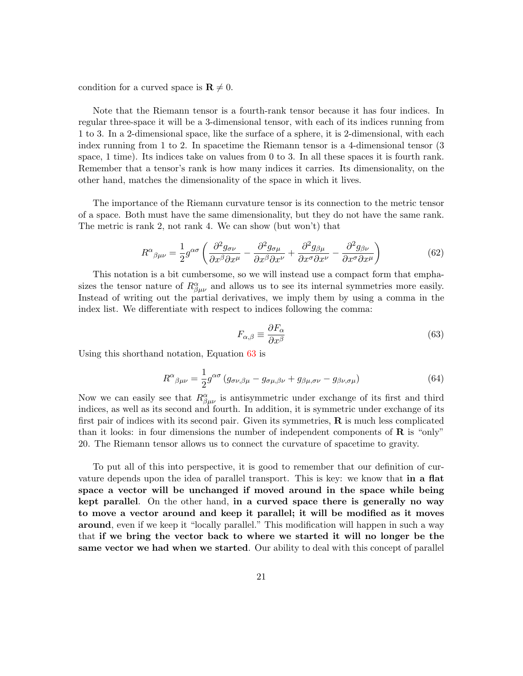condition for a curved space is  $\mathbf{R} \neq 0$ .

Note that the Riemann tensor is a fourth-rank tensor because it has four indices. In regular three-space it will be a 3-dimensional tensor, with each of its indices running from 1 to 3. In a 2-dimensional space, like the surface of a sphere, it is 2-dimensional, with each index running from 1 to 2. In spacetime the Riemann tensor is a 4-dimensional tensor (3 space,  $1 \times$ . Its indices take on values from 0 to 3. In all these spaces it is fourth rank. Remember that a tensor's rank is how many indices it carries. Its dimensionality, on the other hand, matches the dimensionality of the space in which it lives.

The importance of the Riemann curvature tensor is its connection to the metric tensor of a space. Both must have the same dimensionality, but they do not have the same rank. The metric is rank 2, not rank 4. We can show (but won't) that

$$
R^{\alpha}{}_{\beta\mu\nu} = \frac{1}{2} g^{\alpha\sigma} \left( \frac{\partial^2 g_{\sigma\nu}}{\partial x^{\beta} \partial x^{\mu}} - \frac{\partial^2 g_{\sigma\mu}}{\partial x^{\beta} \partial x^{\nu}} + \frac{\partial^2 g_{\beta\mu}}{\partial x^{\sigma} \partial x^{\nu}} - \frac{\partial^2 g_{\beta\nu}}{\partial x^{\sigma} \partial x^{\mu}} \right)
$$
(62)

This notation is a bit cumbersome, so we will instead use a compact form that emphasizes the tensor nature of  $R^{\alpha}_{\beta\mu\nu}$  and allows us to see its internal symmetries more easily. Instead of writing out the partial derivatives, we imply them by using a comma in the index list. We differentiate with respect to indices following the comma:

<span id="page-20-0"></span>
$$
F_{\alpha,\beta} \equiv \frac{\partial F_{\alpha}}{\partial x^{\beta}}
$$
\n(63)

Using this shorthand notation, Equation [63](#page-20-0) is

$$
R^{\alpha}{}_{\beta\mu\nu} = \frac{1}{2}g^{\alpha\sigma}\left(g_{\sigma\nu,\beta\mu} - g_{\sigma\mu,\beta\nu} + g_{\beta\mu,\sigma\nu} - g_{\beta\nu,\sigma\mu}\right) \tag{64}
$$

Now we can easily see that  $R^{\alpha}_{\beta\mu\nu}$  is antisymmetric under exchange of its first and third indices, as well as its second and fourth. In addition, it is symmetric under exchange of its first pair of indices with its second pair. Given its symmetries,  $\bf{R}$  is much less complicated than it looks: in four dimensions the number of independent components of  $\bf{R}$  is "only" 20. The Riemann tensor allows us to connect the curvature of spacetime to gravity.

To put all of this into perspective, it is good to remember that our definition of curvature depends upon the idea of parallel transport. This is key: we know that in a flat space a vector will be unchanged if moved around in the space while being kept parallel. On the other hand, in a curved space there is generally no way to move a vector around and keep it parallel; it will be modified as it moves around, even if we keep it "locally parallel." This modification will happen in such a way that if we bring the vector back to where we started it will no longer be the same vector we had when we started. Our ability to deal with this concept of parallel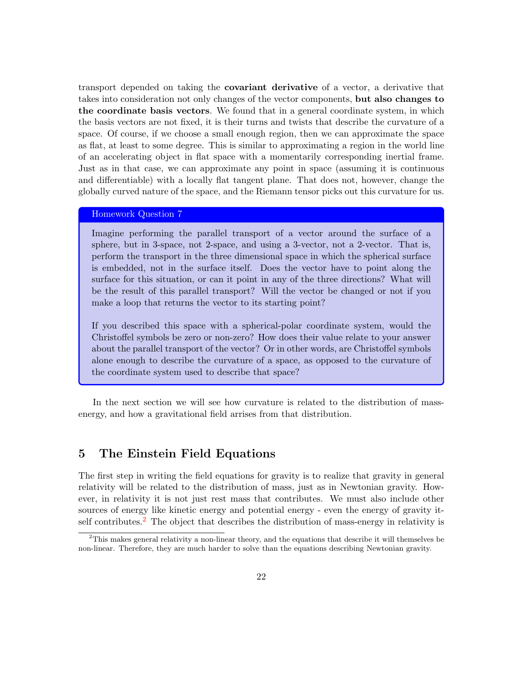transport depended on taking the covariant derivative of a vector, a derivative that takes into consideration not only changes of the vector components, but also changes to the coordinate basis vectors. We found that in a general coordinate system, in which the basis vectors are not fixed, it is their turns and twists that describe the curvature of a space. Of course, if we choose a small enough region, then we can approximate the space as flat, at least to some degree. This is similar to approximating a region in the world line of an accelerating object in flat space with a momentarily corresponding inertial frame. Just as in that case, we can approximate any point in space (assuming it is continuous and differentiable) with a locally flat tangent plane. That does not, however, change the globally curved nature of the space, and the Riemann tensor picks out this curvature for us.

#### Homework Question 7

Imagine performing the parallel transport of a vector around the surface of a sphere, but in 3-space, not 2-space, and using a 3-vector, not a 2-vector. That is, perform the transport in the three dimensional space in which the spherical surface is embedded, not in the surface itself. Does the vector have to point along the surface for this situation, or can it point in any of the three directions? What will be the result of this parallel transport? Will the vector be changed or not if you make a loop that returns the vector to its starting point?

If you described this space with a spherical-polar coordinate system, would the Christoffel symbols be zero or non-zero? How does their value relate to your answer about the parallel transport of the vector? Or in other words, are Christoffel symbols alone enough to describe the curvature of a space, as opposed to the curvature of the coordinate system used to describe that space?

In the next section we will see how curvature is related to the distribution of massenergy, and how a gravitational field arrises from that distribution.

# 5 The Einstein Field Equations

The first step in writing the field equations for gravity is to realize that gravity in general relativity will be related to the distribution of mass, just as in Newtonian gravity. However, in relativity it is not just rest mass that contributes. We must also include other sources of energy like kinetic energy and potential energy - even the energy of gravity it-self contributes.<sup>[2](#page-21-0)</sup> The object that describes the distribution of mass-energy in relativity is

<span id="page-21-0"></span><sup>&</sup>lt;sup>2</sup>This makes general relativity a non-linear theory, and the equations that describe it will themselves be non-linear. Therefore, they are much harder to solve than the equations describing Newtonian gravity.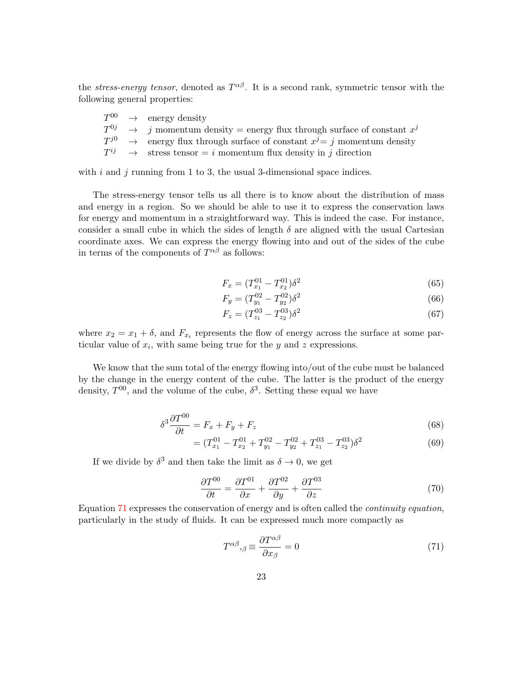the *stress-energy tensor*, denoted as  $T^{\alpha\beta}$ . It is a second rank, symmetric tensor with the following general properties:

|  | $T^{00} \rightarrow$ energy density                                                              |
|--|--------------------------------------------------------------------------------------------------|
|  | $T^{0j}$ $\rightarrow$ <i>j</i> momentum density = energy flux through surface of constant $x^j$ |
|  | $T^{j0}$ $\rightarrow$ energy flux through surface of constant $x^j = j$ momentum density        |
|  | $T^{ij}$ $\rightarrow$ stress tensor = <i>i</i> momentum flux density in <i>j</i> direction      |

with  $i$  and  $j$  running from 1 to 3, the usual 3-dimensional space indices.

The stress-energy tensor tells us all there is to know about the distribution of mass and energy in a region. So we should be able to use it to express the conservation laws for energy and momentum in a straightforward way. This is indeed the case. For instance, consider a small cube in which the sides of length  $\delta$  are aligned with the usual Cartesian coordinate axes. We can express the energy flowing into and out of the sides of the cube in terms of the components of  $T^{\alpha\beta}$  as follows:

$$
F_x = (T_{x_1}^{01} - T_{x_2}^{01})\delta^2 \tag{65}
$$

$$
F_y = (T_{y_1}^{02} - T_{y_2}^{02})\delta^2 \tag{66}
$$

$$
F_z = (T_{z_1}^{03} - T_{z_2}^{03})\delta^2 \tag{67}
$$

where  $x_2 = x_1 + \delta$ , and  $F_{x_i}$  represents the flow of energy across the surface at some particular value of  $x_i$ , with same being true for the  $y$  and  $z$  expressions.

We know that the sum total of the energy flowing into/out of the cube must be balanced by the change in the energy content of the cube. The latter is the product of the energy density,  $T^{00}$ , and the volume of the cube,  $\delta^3$ . Setting these equal we have

$$
\delta^3 \frac{\partial T^{00}}{\partial t} = F_x + F_y + F_z \tag{68}
$$

$$
= (T_{x_1}^{01} - T_{x_2}^{01} + T_{y_1}^{02} - T_{y_2}^{02} + T_{z_1}^{03} - T_{z_2}^{03})\delta^2
$$
\n(69)

If we divide by  $\delta^3$  and then take the limit as  $\delta \to 0$ , we get

$$
\frac{\partial T^{00}}{\partial t} = \frac{\partial T^{01}}{\partial x} + \frac{\partial T^{02}}{\partial y} + \frac{\partial T^{03}}{\partial z} \tag{70}
$$

Equation [71](#page-22-0) expresses the conservation of energy and is often called the continuity equation, particularly in the study of fluids. It can be expressed much more compactly as

<span id="page-22-0"></span>
$$
T^{\alpha\beta}{}_{,\beta} \equiv \frac{\partial T^{\alpha\beta}}{\partial x_{\beta}} = 0 \tag{71}
$$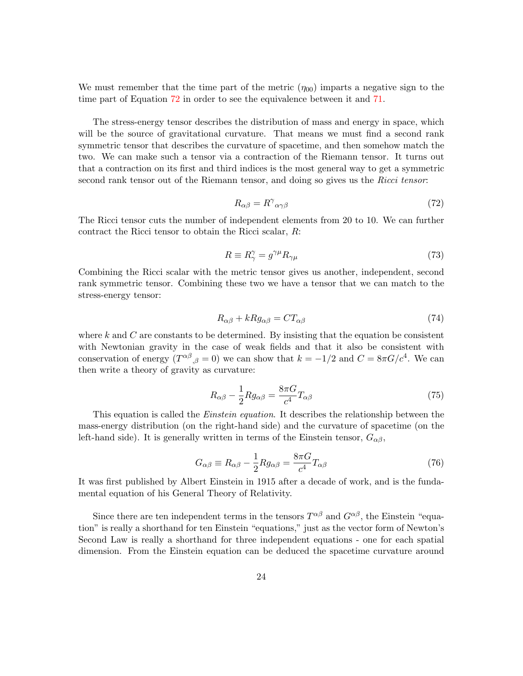We must remember that the time part of the metric  $(\eta_{00})$  imparts a negative sign to the time part of Equation [72](#page-23-0) in order to see the equivalence between it and [71.](#page-22-0)

The stress-energy tensor describes the distribution of mass and energy in space, which will be the source of gravitational curvature. That means we must find a second rank symmetric tensor that describes the curvature of spacetime, and then somehow match the two. We can make such a tensor via a contraction of the Riemann tensor. It turns out that a contraction on its first and third indices is the most general way to get a symmetric second rank tensor out of the Riemann tensor, and doing so gives us the Ricci tensor.

<span id="page-23-0"></span>
$$
R_{\alpha\beta} = R^{\gamma}{}_{\alpha\gamma\beta} \tag{72}
$$

The Ricci tensor cuts the number of independent elements from 20 to 10. We can further contract the Ricci tensor to obtain the Ricci scalar, R:

$$
R \equiv R_{\gamma}^{\gamma} = g^{\gamma \mu} R_{\gamma \mu} \tag{73}
$$

Combining the Ricci scalar with the metric tensor gives us another, independent, second rank symmetric tensor. Combining these two we have a tensor that we can match to the stress-energy tensor:

$$
R_{\alpha\beta} + kRg_{\alpha\beta} = CT_{\alpha\beta} \tag{74}
$$

where k and C are constants to be determined. By insisting that the equation be consistent with Newtonian gravity in the case of weak fields and that it also be consistent with conservation of energy  $(T^{\alpha\beta}_{\beta\beta} = 0)$  we can show that  $k = -1/2$  and  $C = 8\pi G/c^4$ . We can then write a theory of gravity as curvature:

$$
R_{\alpha\beta} - \frac{1}{2} R g_{\alpha\beta} = \frac{8\pi G}{c^4} T_{\alpha\beta} \tag{75}
$$

This equation is called the *Einstein equation*. It describes the relationship between the mass-energy distribution (on the right-hand side) and the curvature of spacetime (on the left-hand side). It is generally written in terms of the Einstein tensor,  $G_{\alpha\beta}$ ,

$$
G_{\alpha\beta} \equiv R_{\alpha\beta} - \frac{1}{2} R g_{\alpha\beta} = \frac{8\pi G}{c^4} T_{\alpha\beta} \tag{76}
$$

It was first published by Albert Einstein in 1915 after a decade of work, and is the fundamental equation of his General Theory of Relativity.

Since there are ten independent terms in the tensors  $T^{\alpha\beta}$  and  $G^{\alpha\beta}$ , the Einstein "equation" is really a shorthand for ten Einstein "equations," just as the vector form of Newton's Second Law is really a shorthand for three independent equations - one for each spatial dimension. From the Einstein equation can be deduced the spacetime curvature around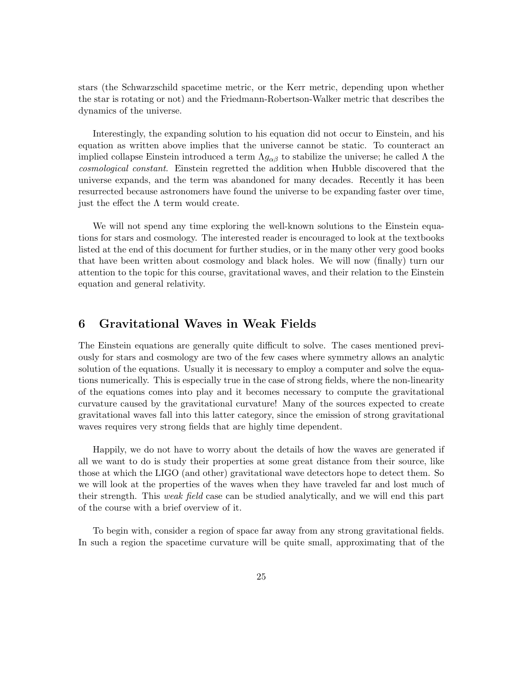stars (the Schwarzschild spacetime metric, or the Kerr metric, depending upon whether the star is rotating or not) and the Friedmann-Robertson-Walker metric that describes the dynamics of the universe.

Interestingly, the expanding solution to his equation did not occur to Einstein, and his equation as written above implies that the universe cannot be static. To counteract an implied collapse Einstein introduced a term  $\Lambda g_{\alpha\beta}$  to stabilize the universe; he called  $\Lambda$  the cosmological constant. Einstein regretted the addition when Hubble discovered that the universe expands, and the term was abandoned for many decades. Recently it has been resurrected because astronomers have found the universe to be expanding faster over time, just the effect the  $\Lambda$  term would create.

We will not spend any time exploring the well-known solutions to the Einstein equations for stars and cosmology. The interested reader is encouraged to look at the textbooks listed at the end of this document for further studies, or in the many other very good books that have been written about cosmology and black holes. We will now (finally) turn our attention to the topic for this course, gravitational waves, and their relation to the Einstein equation and general relativity.

# 6 Gravitational Waves in Weak Fields

The Einstein equations are generally quite difficult to solve. The cases mentioned previously for stars and cosmology are two of the few cases where symmetry allows an analytic solution of the equations. Usually it is necessary to employ a computer and solve the equations numerically. This is especially true in the case of strong fields, where the non-linearity of the equations comes into play and it becomes necessary to compute the gravitational curvature caused by the gravitational curvature! Many of the sources expected to create gravitational waves fall into this latter category, since the emission of strong gravitational waves requires very strong fields that are highly time dependent.

Happily, we do not have to worry about the details of how the waves are generated if all we want to do is study their properties at some great distance from their source, like those at which the LIGO (and other) gravitational wave detectors hope to detect them. So we will look at the properties of the waves when they have traveled far and lost much of their strength. This weak field case can be studied analytically, and we will end this part of the course with a brief overview of it.

To begin with, consider a region of space far away from any strong gravitational fields. In such a region the spacetime curvature will be quite small, approximating that of the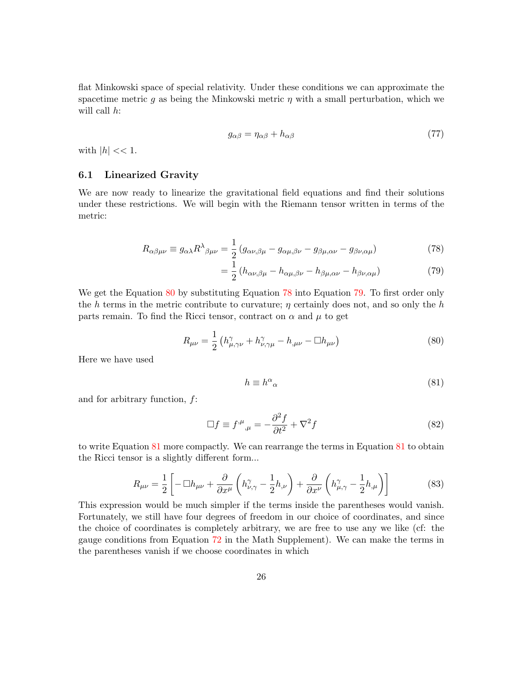flat Minkowski space of special relativity. Under these conditions we can approximate the spacetime metric q as being the Minkowski metric  $\eta$  with a small perturbation, which we will call  $h$ :

$$
g_{\alpha\beta} = \eta_{\alpha\beta} + h_{\alpha\beta} \tag{77}
$$

with  $|h| \ll 1$ .

### 6.1 Linearized Gravity

We are now ready to linearize the gravitational field equations and find their solutions under these restrictions. We will begin with the Riemann tensor written in terms of the metric:

$$
R_{\alpha\beta\mu\nu} \equiv g_{\alpha\lambda} R^{\lambda}{}_{\beta\mu\nu} = \frac{1}{2} \left( g_{\alpha\nu,\beta\mu} - g_{\alpha\mu,\beta\nu} - g_{\beta\mu,\alpha\nu} - g_{\beta\nu,\alpha\mu} \right) \tag{78}
$$

<span id="page-25-2"></span><span id="page-25-1"></span>
$$
= \frac{1}{2} \left( h_{\alpha\nu,\beta\mu} - h_{\alpha\mu,\beta\nu} - h_{\beta\mu,\alpha\nu} - h_{\beta\nu,\alpha\mu} \right) \tag{79}
$$

We get the Equation [80](#page-25-0) by substituting Equation [78](#page-25-1) into Equation [79.](#page-25-2) To first order only the h terms in the metric contribute to curvature;  $\eta$  certainly does not, and so only the h parts remain. To find the Ricci tensor, contract on  $\alpha$  and  $\mu$  to get

<span id="page-25-0"></span>
$$
R_{\mu\nu} = \frac{1}{2} \left( h_{\mu,\gamma\nu}^{\gamma} + h_{\nu,\gamma\mu}^{\gamma} - h_{,\mu\nu} - \Box h_{\mu\nu} \right) \tag{80}
$$

Here we have used

<span id="page-25-3"></span>
$$
h \equiv h^{\alpha}{}_{\alpha} \tag{81}
$$

and for arbitrary function, f:

$$
\Box f \equiv f^{\mu}{}_{,\mu} = -\frac{\partial^2 f}{\partial t^2} + \nabla^2 f \tag{82}
$$

to write Equation [81](#page-25-3) more compactly. We can rearrange the terms in Equation [81](#page-25-3) to obtain the Ricci tensor is a slightly different form...

$$
R_{\mu\nu} = \frac{1}{2} \left[ -\Box h_{\mu\nu} + \frac{\partial}{\partial x^{\mu}} \left( h_{\nu,\gamma}^{\gamma} - \frac{1}{2} h_{,\nu} \right) + \frac{\partial}{\partial x^{\nu}} \left( h_{\mu,\gamma}^{\gamma} - \frac{1}{2} h_{,\mu} \right) \right]
$$
(83)

This expression would be much simpler if the terms inside the parentheses would vanish. Fortunately, we still have four degrees of freedom in our choice of coordinates, and since the choice of coordinates is completely arbitrary, we are free to use any we like (cf: the gauge conditions from Equation [72](#page-23-0) in the Math Supplement). We can make the terms in the parentheses vanish if we choose coordinates in which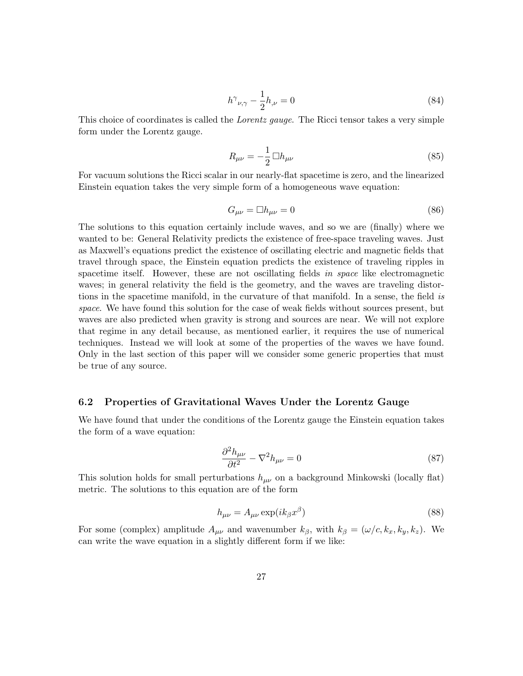$$
h^{\gamma}{}_{\nu,\gamma} - \frac{1}{2}h_{,\nu} = 0\tag{84}
$$

This choice of coordinates is called the *Lorentz gauge*. The Ricci tensor takes a very simple form under the Lorentz gauge.

<span id="page-26-0"></span>
$$
R_{\mu\nu} = -\frac{1}{2} \Box h_{\mu\nu} \tag{85}
$$

For vacuum solutions the Ricci scalar in our nearly-flat spacetime is zero, and the linearized Einstein equation takes the very simple form of a homogeneous wave equation:

$$
G_{\mu\nu} = \Box h_{\mu\nu} = 0 \tag{86}
$$

The solutions to this equation certainly include waves, and so we are (finally) where we wanted to be: General Relativity predicts the existence of free-space traveling waves. Just as Maxwell's equations predict the existence of oscillating electric and magnetic fields that travel through space, the Einstein equation predicts the existence of traveling ripples in spacetime itself. However, these are not oscillating fields in space like electromagnetic waves; in general relativity the field is the geometry, and the waves are traveling distortions in the spacetime manifold, in the curvature of that manifold. In a sense, the field is space. We have found this solution for the case of weak fields without sources present, but waves are also predicted when gravity is strong and sources are near. We will not explore that regime in any detail because, as mentioned earlier, it requires the use of numerical techniques. Instead we will look at some of the properties of the waves we have found. Only in the last section of this paper will we consider some generic properties that must be true of any source.

#### 6.2 Properties of Gravitational Waves Under the Lorentz Gauge

We have found that under the conditions of the Lorentz gauge the Einstein equation takes the form of a wave equation:

$$
\frac{\partial^2 h_{\mu\nu}}{\partial t^2} - \nabla^2 h_{\mu\nu} = 0
$$
\n(87)

This solution holds for small perturbations  $h_{\mu\nu}$  on a background Minkowski (locally flat) metric. The solutions to this equation are of the form

$$
h_{\mu\nu} = A_{\mu\nu} \exp(ik_{\beta}x^{\beta})
$$
\n(88)

For some (complex) amplitude  $A_{\mu\nu}$  and wavenumber  $k_{\beta}$ , with  $k_{\beta} = (\omega/c, k_x, k_y, k_z)$ . We can write the wave equation in a slightly different form if we like: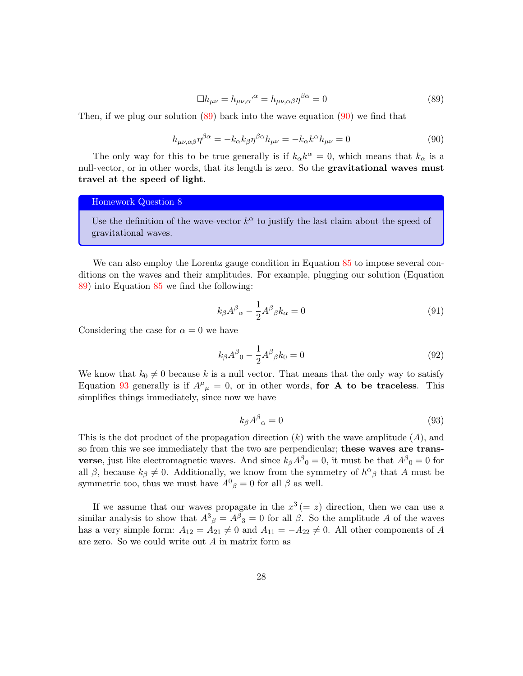<span id="page-27-0"></span>
$$
\Box h_{\mu\nu} = h_{\mu\nu,\alpha}^{\qquad \alpha} = h_{\mu\nu,\alpha\beta} \eta^{\beta\alpha} = 0 \tag{89}
$$

Then, if we plug our solution  $(89)$  back into the wave equation  $(90)$  we find that

<span id="page-27-1"></span>
$$
h_{\mu\nu,\alpha\beta}\eta^{\beta\alpha} = -k_{\alpha}k_{\beta}\eta^{\beta\alpha}h_{\mu\nu} = -k_{\alpha}k^{\alpha}h_{\mu\nu} = 0
$$
\n(90)

The only way for this to be true generally is if  $k_{\alpha}k^{\alpha} = 0$ , which means that  $k_{\alpha}$  is a null-vector, or in other words, that its length is zero. So the gravitational waves must travel at the speed of light.

### Homework Question 8

Use the definition of the wave-vector  $k^{\alpha}$  to justify the last claim about the speed of gravitational waves.

We can also employ the Lorentz gauge condition in Equation  $85$  to impose several conditions on the waves and their amplitudes. For example, plugging our solution (Equation [89\)](#page-27-0) into Equation [85](#page-26-0) we find the following:

$$
k_{\beta}A^{\beta}{}_{\alpha} - \frac{1}{2}A^{\beta}{}_{\beta}k_{\alpha} = 0
$$
\n(91)

Considering the case for  $\alpha = 0$  we have

$$
k_{\beta}A^{\beta}{}_{0} - \frac{1}{2}A^{\beta}{}_{\beta}k_{0} = 0
$$
\n(92)

We know that  $k_0 \neq 0$  because k is a null vector. That means that the only way to satisfy Equation [93](#page-27-2) generally is if  $A^{\mu}{}_{\mu} = 0$ , or in other words, for A to be traceless. This simplifies things immediately, since now we have

<span id="page-27-2"></span>
$$
k_{\beta}A^{\beta}{}_{\alpha}=0\tag{93}
$$

This is the dot product of the propagation direction  $(k)$  with the wave amplitude  $(A)$ , and so from this we see immediately that the two are perpendicular; these waves are trans**verse**, just like electromagnetic waves. And since  $k_{\beta}A^{\beta}{}_{0} = 0$ , it must be that  $A^{\beta}{}_{0} = 0$  for all  $\beta$ , because  $k_{\beta} \neq 0$ . Additionally, we know from the symmetry of  $h^{\alpha}{}_{\beta}$  that A must be symmetric too, thus we must have  $A^0{}_{\beta} = 0$  for all  $\beta$  as well.

If we assume that our waves propagate in the  $x^3 (= z)$  direction, then we can use a similar analysis to show that  $A^3{}_{\beta} = A^{\beta}{}_{3} = 0$  for all  $\beta$ . So the amplitude A of the waves has a very simple form:  $A_{12} = A_{21} \neq 0$  and  $A_{11} = -A_{22} \neq 0$ . All other components of A are zero. So we could write out A in matrix form as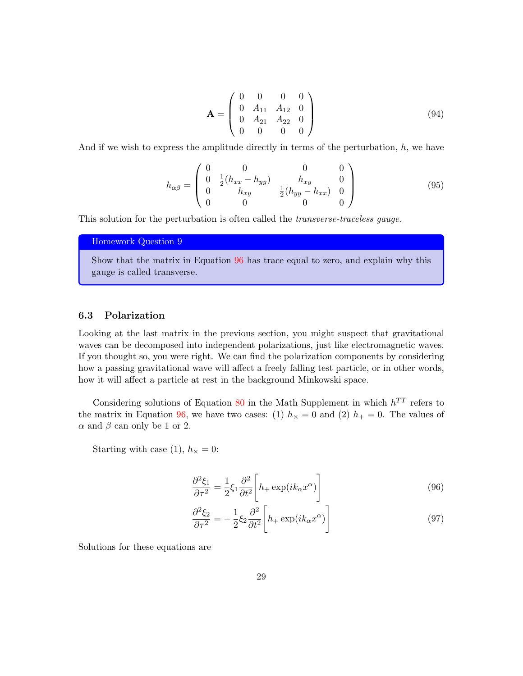$$
\mathbf{A} = \begin{pmatrix} 0 & 0 & 0 & 0 \\ 0 & A_{11} & A_{12} & 0 \\ 0 & A_{21} & A_{22} & 0 \\ 0 & 0 & 0 & 0 \end{pmatrix}
$$
(94)

And if we wish to express the amplitude directly in terms of the perturbation,  $h$ , we have

$$
h_{\alpha\beta} = \begin{pmatrix} 0 & 0 & 0 & 0 \\ 0 & \frac{1}{2}(h_{xx} - h_{yy}) & h_{xy} & 0 \\ 0 & h_{xy} & \frac{1}{2}(h_{yy} - h_{xx}) & 0 \\ 0 & 0 & 0 & 0 \end{pmatrix}
$$
(95)

This solution for the perturbation is often called the *transverse-traceless gauge*.

Homework Question 9

Show that the matrix in Equation [96](#page-28-0) has trace equal to zero, and explain why this gauge is called transverse.

### 6.3 Polarization

Looking at the last matrix in the previous section, you might suspect that gravitational waves can be decomposed into independent polarizations, just like electromagnetic waves. If you thought so, you were right. We can find the polarization components by considering how a passing gravitational wave will affect a freely falling test particle, or in other words, how it will affect a particle at rest in the background Minkowski space.

Considering solutions of Equation [80](#page-25-0) in the Math Supplement in which  $h^{TT}$  refers to the matrix in Equation [96,](#page-28-0) we have two cases: (1)  $h<sub>\times</sub> = 0$  and (2)  $h<sub>+</sub> = 0$ . The values of  $\alpha$  and  $\beta$  can only be 1 or 2.

Starting with case (1),  $h_{\times} = 0$ :

<span id="page-28-0"></span>
$$
\frac{\partial^2 \xi_1}{\partial \tau^2} = \frac{1}{2} \xi_1 \frac{\partial^2}{\partial t^2} \left[ h_+ \exp(ik_\alpha x^\alpha) \right]
$$
(96)

$$
\frac{\partial^2 \xi_2}{\partial \tau^2} = -\frac{1}{2} \xi_2 \frac{\partial^2}{\partial t^2} \left[ h_+ \exp(ik_\alpha x^\alpha) \right]
$$
(97)

Solutions for these equations are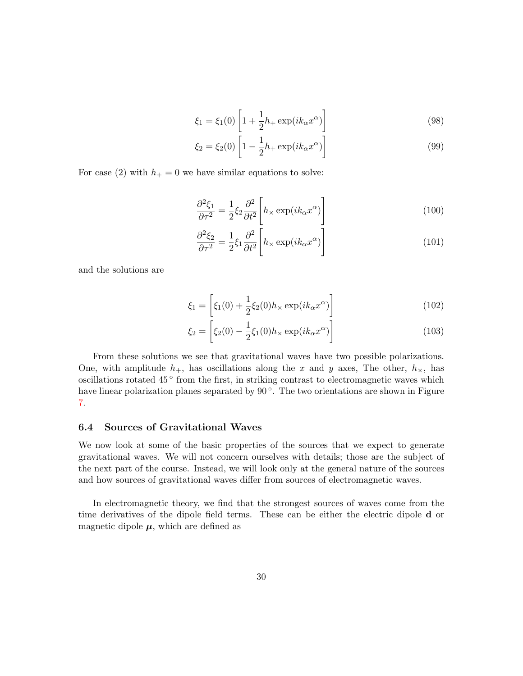$$
\xi_1 = \xi_1(0) \left[ 1 + \frac{1}{2} h_+ \exp(ik_\alpha x^\alpha) \right]
$$
\n(98)

$$
\xi_2 = \xi_2(0) \left[ 1 - \frac{1}{2} h_+ \exp(i k_\alpha x^\alpha) \right]
$$
\n(99)

For case (2) with  $h_+ = 0$  we have similar equations to solve:

$$
\frac{\partial^2 \xi_1}{\partial \tau^2} = \frac{1}{2} \xi_2 \frac{\partial^2}{\partial t^2} \left[ h_\times \exp(ik_\alpha x^\alpha) \right]
$$
(100)

$$
\frac{\partial^2 \xi_2}{\partial \tau^2} = \frac{1}{2} \xi_1 \frac{\partial^2}{\partial t^2} \left[ h_\times \exp(ik_\alpha x^\alpha) \right]
$$
(101)

and the solutions are

$$
\xi_1 = \left[ \xi_1(0) + \frac{1}{2} \xi_2(0) h_\times \exp(ik_\alpha x^\alpha) \right]
$$
\n(102)

$$
\xi_2 = \left[ \xi_2(0) - \frac{1}{2} \xi_1(0) h_\times \exp(ik_\alpha x^\alpha) \right]
$$
\n(103)

From these solutions we see that gravitational waves have two possible polarizations. One, with amplitude  $h_+$ , has oscillations along the x and y axes, The other,  $h_{\times}$ , has oscillations rotated 45<sup>°</sup> from the first, in striking contrast to electromagnetic waves which have linear polarization planes separated by 90<sup>°</sup>. The two orientations are shown in Figure [7.](#page-30-0)

### 6.4 Sources of Gravitational Waves

We now look at some of the basic properties of the sources that we expect to generate gravitational waves. We will not concern ourselves with details; those are the subject of the next part of the course. Instead, we will look only at the general nature of the sources and how sources of gravitational waves differ from sources of electromagnetic waves.

In electromagnetic theory, we find that the strongest sources of waves come from the time derivatives of the dipole field terms. These can be either the electric dipole d or magnetic dipole  $\mu$ , which are defined as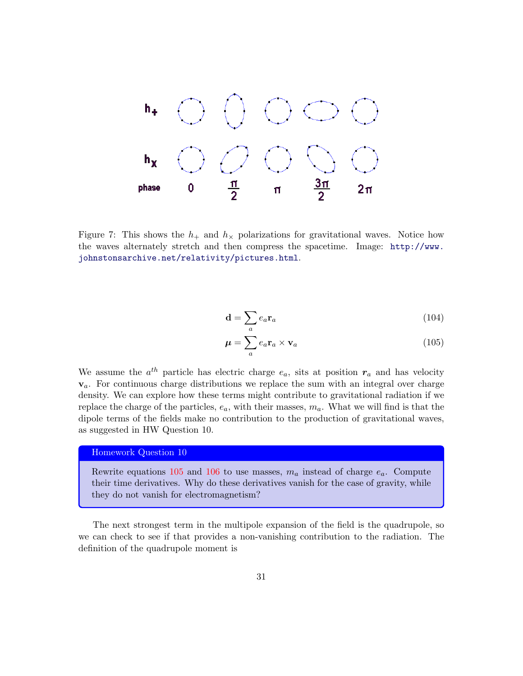

<span id="page-30-0"></span>Figure 7: This shows the  $h_+$  and  $h_{\times}$  polarizations for gravitational waves. Notice how the waves alternately stretch and then compress the spacetime. Image: [http://www.](http://www.johnstonsarchive.net/relativity/pictures.html) [johnstonsarchive.net/relativity/pictures.html](http://www.johnstonsarchive.net/relativity/pictures.html).

$$
\mathbf{d} = \sum_{a} e_a \mathbf{r}_a \tag{104}
$$

<span id="page-30-1"></span>
$$
\mu = \sum_{a} e_a \mathbf{r}_a \times \mathbf{v}_a \tag{105}
$$

We assume the  $a^{th}$  particle has electric charge  $e_a$ , sits at position  $r_a$  and has velocity  $v_a$ . For continuous charge distributions we replace the sum with an integral over charge density. We can explore how these terms might contribute to gravitational radiation if we replace the charge of the particles,  $e_a$ , with their masses,  $m_a$ . What we will find is that the dipole terms of the fields make no contribution to the production of gravitational waves, as suggested in HW Question 10.

#### Homework Question 10

Rewrite equations [105](#page-30-1) and [106](#page-31-0) to use masses,  $m_a$  instead of charge  $e_a$ . Compute their time derivatives. Why do these derivatives vanish for the case of gravity, while they do not vanish for electromagnetism?

The next strongest term in the multipole expansion of the field is the quadrupole, so we can check to see if that provides a non-vanishing contribution to the radiation. The definition of the quadrupole moment is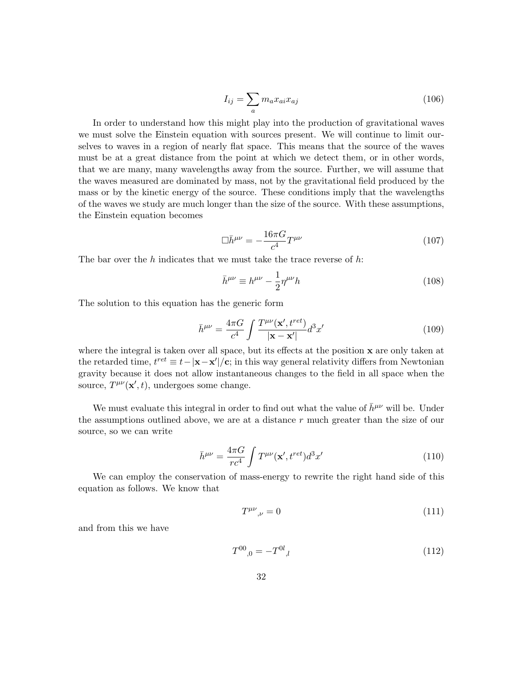<span id="page-31-0"></span>
$$
I_{ij} = \sum_{a} m_a x_{ai} x_{aj} \tag{106}
$$

In order to understand how this might play into the production of gravitational waves we must solve the Einstein equation with sources present. We will continue to limit ourselves to waves in a region of nearly flat space. This means that the source of the waves must be at a great distance from the point at which we detect them, or in other words, that we are many, many wavelengths away from the source. Further, we will assume that the waves measured are dominated by mass, not by the gravitational field produced by the mass or by the kinetic energy of the source. These conditions imply that the wavelengths of the waves we study are much longer than the size of the source. With these assumptions, the Einstein equation becomes

$$
\Box \bar{h}^{\mu\nu} = -\frac{16\pi G}{c^4} T^{\mu\nu} \tag{107}
$$

The bar over the  $h$  indicates that we must take the trace reverse of  $h$ :

$$
\bar{h}^{\mu\nu} \equiv h^{\mu\nu} - \frac{1}{2} \eta^{\mu\nu} h \tag{108}
$$

The solution to this equation has the generic form

$$
\bar{h}^{\mu\nu} = \frac{4\pi G}{c^4} \int \frac{T^{\mu\nu}(\mathbf{x}', t^{ret})}{|\mathbf{x} - \mathbf{x}'|} d^3 x'
$$
(109)

where the integral is taken over all space, but its effects at the position  $x$  are only taken at the retarded time,  $t^{ret} \equiv t - |\mathbf{x} - \mathbf{x}'|/\mathbf{c}$ ; in this way general relativity differs from Newtonian gravity because it does not allow instantaneous changes to the field in all space when the source,  $T^{\mu\nu}(\mathbf{x}',t)$ , undergoes some change.

We must evaluate this integral in order to find out what the value of  $\bar{h}^{\mu\nu}$  will be. Under the assumptions outlined above, we are at a distance  $r$  much greater than the size of our source, so we can write

$$
\bar{h}^{\mu\nu} = \frac{4\pi G}{rc^4} \int T^{\mu\nu}(\mathbf{x}', t^{ret}) d^3 x'
$$
\n(110)

We can employ the conservation of mass-energy to rewrite the right hand side of this equation as follows. We know that

<span id="page-31-1"></span>
$$
T^{\mu\nu}{}_{,\nu} = 0 \tag{111}
$$

and from this we have

$$
T^{00}{}_{,0} = -T^{0l}{}_{,l} \tag{112}
$$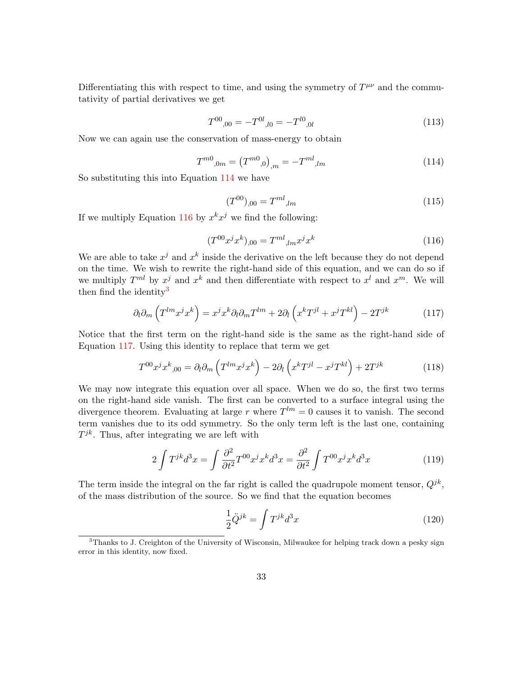Differentiating this with respect to time, and using the symmetry of  $T^{\mu\nu}$  and the commutativity of partial derivatives we get

$$
T^{00}{}_{,00} = -T^{0l}{}_{,l0} = -T^{l0}{}_{,0l} \tag{113}
$$

Now we can again use the conservation of mass-energy to obtain

<span id="page-32-0"></span>
$$
T^{m0}_{\quad,0m} = (T^{m0}_{\quad,0})_{,m} = -T^{ml}_{\quad,lm} \tag{114}
$$

So substituting this into Equation [114](#page-32-0) we have

$$
(T^{00})_{,00} = T^{ml}_{,lm} \tag{115}
$$

If we multiply Equation [116](#page-32-1) by  $x^k x^j$  we find the following:

<span id="page-32-1"></span>
$$
(T^{00}x^jx^k)_{,00} = T^{ml}{}_{,lm}x^jx^k
$$
\n(116)

We are able to take  $x^j$  and  $x^k$  inside the derivative on the left because they do not depend on the time. We wish to rewrite the right-hand side of this equation, and we can do so if we multiply  $T^{ml}$  by  $x^j$  and  $x^k$  and then differentiate with respect to  $x^l$  and  $x^m$ . We will then find the identity<sup>[3](#page-32-2)</sup>

<span id="page-32-3"></span>
$$
\partial_l \partial_m \left( T^{lm} x^j x^k \right) = x^j x^k \partial_l \partial_m T^{lm} + 2 \partial_l \left( x^k T^{jl} + x^j T^{kl} \right) - 2 T^{jk} \tag{117}
$$

Notice that the first term on the right-hand side is the same as the right-hand side of Equation [117.](#page-32-3) Using this identity to replace that term we get

$$
T^{00}x^jx^k_{,00} = \partial_l\partial_m\left(T^{lm}x^jx^k\right) - 2\partial_l\left(x^kT^{jl} - x^jT^{kl}\right) + 2T^{jk} \tag{118}
$$

We may now integrate this equation over all space. When we do so, the first two terms on the right-hand side vanish. The first can be converted to a surface integral using the divergence theorem. Evaluating at large r where  $T^{lm} = 0$  causes it to vanish. The second term vanishes due to its odd symmetry. So the only term left is the last one, containing  $T^{jk}$ . Thus, after integrating we are left with

$$
2\int T^{jk}d^3x = \int \frac{\partial^2}{\partial t^2} T^{00}x^j x^k d^3x = \frac{\partial^2}{\partial t^2} \int T^{00}x^j x^k d^3x \tag{119}
$$

The term inside the integral on the far right is called the quadrupole moment tensor,  $Q^{jk}$ , of the mass distribution of the source. So we find that the equation becomes

$$
\frac{1}{2}\ddot{Q}^{jk} = \int T^{jk}d^3x\tag{120}
$$

<span id="page-32-2"></span> $3$ Thanks to J. Creighton of the University of Wisconsin, Milwaukee for helping track down a pesky sign error in this identity, now fixed.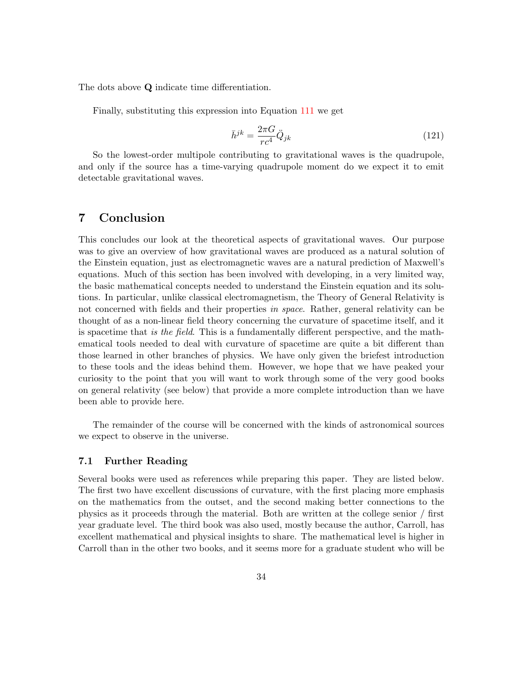The dots above Q indicate time differentiation.

Finally, substituting this expression into Equation [111](#page-31-1) we get

$$
\bar{h}^{jk} = \frac{2\pi G}{rc^4} \ddot{Q}_{jk} \tag{121}
$$

So the lowest-order multipole contributing to gravitational waves is the quadrupole, and only if the source has a time-varying quadrupole moment do we expect it to emit detectable gravitational waves.

# 7 Conclusion

This concludes our look at the theoretical aspects of gravitational waves. Our purpose was to give an overview of how gravitational waves are produced as a natural solution of the Einstein equation, just as electromagnetic waves are a natural prediction of Maxwell's equations. Much of this section has been involved with developing, in a very limited way, the basic mathematical concepts needed to understand the Einstein equation and its solutions. In particular, unlike classical electromagnetism, the Theory of General Relativity is not concerned with fields and their properties in space. Rather, general relativity can be thought of as a non-linear field theory concerning the curvature of spacetime itself, and it is spacetime that is the field. This is a fundamentally different perspective, and the mathematical tools needed to deal with curvature of spacetime are quite a bit different than those learned in other branches of physics. We have only given the briefest introduction to these tools and the ideas behind them. However, we hope that we have peaked your curiosity to the point that you will want to work through some of the very good books on general relativity (see below) that provide a more complete introduction than we have been able to provide here.

The remainder of the course will be concerned with the kinds of astronomical sources we expect to observe in the universe.

### 7.1 Further Reading

Several books were used as references while preparing this paper. They are listed below. The first two have excellent discussions of curvature, with the first placing more emphasis on the mathematics from the outset, and the second making better connections to the physics as it proceeds through the material. Both are written at the college senior / first year graduate level. The third book was also used, mostly because the author, Carroll, has excellent mathematical and physical insights to share. The mathematical level is higher in Carroll than in the other two books, and it seems more for a graduate student who will be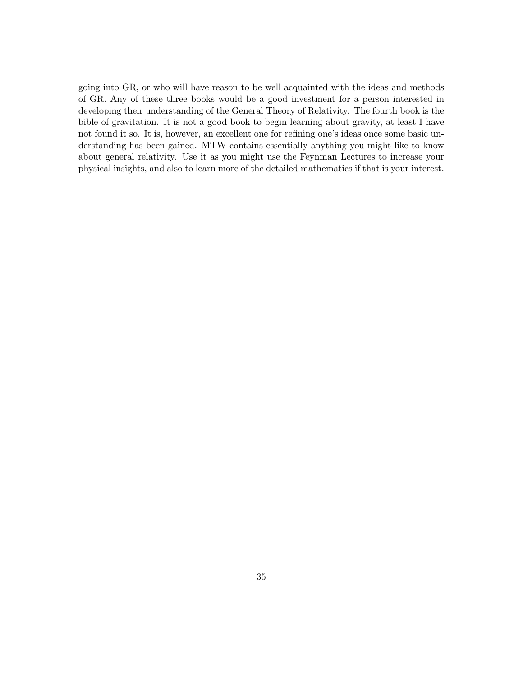going into GR, or who will have reason to be well acquainted with the ideas and methods of GR. Any of these three books would be a good investment for a person interested in developing their understanding of the General Theory of Relativity. The fourth book is the bible of gravitation. It is not a good book to begin learning about gravity, at least I have not found it so. It is, however, an excellent one for refining one's ideas once some basic understanding has been gained. MTW contains essentially anything you might like to know about general relativity. Use it as you might use the Feynman Lectures to increase your physical insights, and also to learn more of the detailed mathematics if that is your interest.